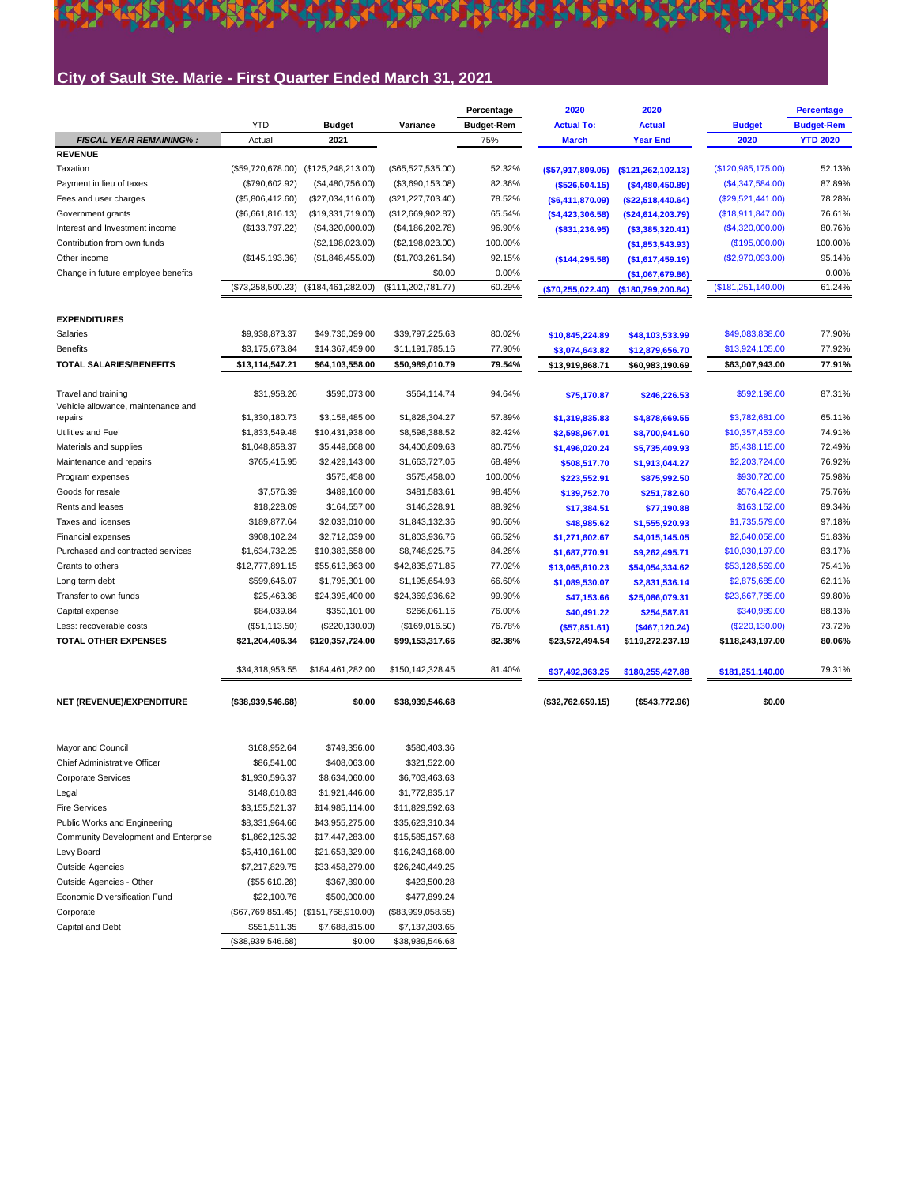# City of Sault Ste. Marie - First Quarter Ended March 31, 2021

|                                                           |                   |                      |                      | Percentage        | 2020              | 2020                |                      | <b>Percentage</b> |
|-----------------------------------------------------------|-------------------|----------------------|----------------------|-------------------|-------------------|---------------------|----------------------|-------------------|
|                                                           | <b>YTD</b>        | <b>Budget</b>        | Variance             | <b>Budget-Rem</b> | <b>Actual To:</b> | <b>Actual</b>       | <b>Budget</b>        | <b>Budget-Rem</b> |
| <b>FISCAL YEAR REMAINING%:</b>                            | Actual            | 2021                 |                      | 75%               | <b>March</b>      | <b>Year End</b>     | 2020                 | <b>YTD 2020</b>   |
| <b>REVENUE</b>                                            |                   |                      |                      |                   |                   |                     |                      |                   |
| Taxation                                                  | (\$59,720,678.00) | (\$125, 248, 213.00) | (\$65,527,535.00)    | 52.32%            | (\$57,917,809.05) | (\$121,262,102.13)  | (\$120,985,175.00)   | 52.13%            |
| Payment in lieu of taxes                                  | (\$790,602.92)    | (\$4,480,756.00)     | (\$3,690,153.08)     | 82.36%            | (\$526,504.15)    | (\$4,480,450.89)    | $(\$4,347,584.00)$   | 87.89%            |
| Fees and user charges                                     | (\$5,806,412.60)  | (\$27,034,116.00)    | (\$21, 227, 703.40)  | 78.52%            | (\$6,411,870.09)  | (\$22,518,440.64)   | $(\$29,521,441.00)$  | 78.28%            |
| Government grants                                         | (\$6,661,816.13)  | (\$19,331,719.00)    | (\$12,669,902.87)    | 65.54%            | ( \$4,423,306.58) | (\$24,614,203.79)   | (\$18,911,847.00)    | 76.61%            |
| Interest and Investment income                            | (\$133,797.22)    | (\$4,320,000.00)     | (\$4,186,202.78)     | 96.90%            | (\$831,236.95)    | $($ \$3,385,320.41) | (\$4,320,000.00)     | 80.76%            |
| Contribution from own funds                               |                   | (\$2,198,023.00)     | (\$2,198,023.00)     | 100.00%           |                   | (\$1,853,543.93)    | (\$195,000.00)       | 100.00%           |
| Other income                                              | (\$145, 193.36)   | (\$1,848,455.00)     | (\$1,703,261.64)     | 92.15%            | ( \$144, 295.58)  | (\$1,617,459.19)    | (\$2,970,093.00)     | 95.14%            |
| Change in future employee benefits                        |                   |                      | \$0.00               | 0.00%             |                   | (\$1,067,679.86)    |                      | 0.00%             |
|                                                           | (\$73,258,500.23) | (\$184,461,282.00)   | (\$111, 202, 781.77) | 60.29%            | (\$70,255,022.40) | (\$180,799,200.84)  | (\$181, 251, 140.00) | 61.24%            |
| <b>EXPENDITURES</b>                                       |                   |                      |                      |                   |                   |                     |                      |                   |
| Salaries                                                  | \$9,938,873.37    | \$49,736,099.00      | \$39,797,225.63      | 80.02%            |                   |                     | \$49,083,838.00      | 77.90%            |
| <b>Benefits</b>                                           | \$3,175,673.84    | \$14,367,459.00      | \$11,191,785.16      | 77.90%            | \$10,845,224.89   | \$48,103,533.99     |                      | 77.92%            |
| <b>TOTAL SALARIES/BENEFITS</b>                            |                   |                      |                      |                   | \$3,074,643.82    | \$12,879,656.70     | \$13,924,105.00      | 77.91%            |
|                                                           | \$13,114,547.21   | \$64,103,558.00      | \$50,989,010.79      | 79.54%            | \$13,919,868.71   | \$60,983,190.69     | \$63,007,943.00      |                   |
| Travel and training<br>Vehicle allowance, maintenance and | \$31,958.26       | \$596,073.00         | \$564,114.74         | 94.64%            | \$75,170.87       | \$246,226.53        | \$592,198.00         | 87.31%            |
| repairs                                                   | \$1,330,180.73    | \$3,158,485.00       | \$1,828,304.27       | 57.89%            | \$1,319,835.83    | \$4,878,669.55      | \$3,782,681.00       | 65.11%            |
| Utilities and Fuel                                        | \$1,833,549.48    | \$10,431,938.00      | \$8,598,388.52       | 82.42%            | \$2,598,967.01    | \$8,700,941.60      | \$10,357,453.00      | 74.91%            |
| Materials and supplies                                    | \$1,048,858.37    | \$5,449,668.00       | \$4,400,809.63       | 80.75%            | \$1,496,020.24    | \$5,735,409.93      | \$5,438,115.00       | 72.49%            |
| Maintenance and repairs                                   | \$765,415.95      | \$2,429,143.00       | \$1,663,727.05       | 68.49%            | \$508,517.70      | \$1,913,044.27      | \$2,203,724.00       | 76.92%            |
| Program expenses                                          |                   | \$575,458.00         | \$575,458.00         | 100.00%           | \$223,552.91      | \$875,992.50        | \$930,720.00         | 75.98%            |
| Goods for resale                                          | \$7,576.39        | \$489,160.00         | \$481,583.61         | 98.45%            | \$139,752.70      | \$251,782.60        | \$576,422.00         | 75.76%            |
| Rents and leases                                          | \$18,228.09       | \$164,557.00         | \$146,328.91         | 88.92%            | \$17,384.51       | \$77,190.88         | \$163,152.00         | 89.34%            |
| Taxes and licenses                                        | \$189,877.64      | \$2,033,010.00       | \$1,843,132.36       | 90.66%            | \$48,985.62       | \$1,555,920.93      | \$1,735,579.00       | 97.18%            |
| Financial expenses                                        | \$908,102.24      | \$2,712,039.00       | \$1,803,936.76       | 66.52%            | \$1,271,602.67    | \$4,015,145.05      | \$2,640,058.00       | 51.83%            |
| Purchased and contracted services                         | \$1,634,732.25    | \$10,383,658.00      | \$8,748,925.75       | 84.26%            | \$1,687,770.91    | \$9,262,495.71      | \$10,030,197.00      | 83.17%            |
| Grants to others                                          | \$12,777,891.15   | \$55,613,863.00      | \$42,835,971.85      | 77.02%            | \$13,065,610.23   | \$54,054,334.62     | \$53,128,569.00      | 75.41%            |
| Long term debt                                            | \$599,646.07      | \$1,795,301.00       | \$1,195,654.93       | 66.60%            | \$1,089,530.07    | \$2,831,536.14      | \$2,875,685.00       | 62.11%            |
| Transfer to own funds                                     | \$25,463.38       | \$24,395,400.00      | \$24,369,936.62      | 99.90%            | \$47,153.66       | \$25,086,079.31     | \$23,667,785.00      | 99.80%            |
| Capital expense                                           | \$84,039.84       | \$350,101.00         | \$266,061.16         | 76.00%            | \$40,491.22       | \$254,587.81        | \$340,989.00         | 88.13%            |
| Less: recoverable costs                                   | (\$51,113.50)     | (\$220, 130.00)      | (\$169,016.50)       | 76.78%            | ( \$57, 851.61)   | (\$467,120.24)      | $(\$220, 130.00)$    | 73.72%            |
| <b>TOTAL OTHER EXPENSES</b>                               | \$21,204,406.34   | \$120,357,724.00     | \$99,153,317.66      | 82.38%            | \$23,572,494.54   | \$119,272,237.19    | \$118,243,197.00     | 80.06%            |
|                                                           |                   |                      |                      |                   |                   |                     |                      |                   |
|                                                           | \$34,318,953.55   | \$184,461,282.00     | \$150,142,328.45     | 81.40%            | \$37,492,363.25   | \$180,255,427.88    | \$181,251,140.00     | 79.31%            |
| NET (REVENUE)/EXPENDITURE                                 | (\$38,939,546.68) | \$0.00               | \$38,939,546.68      |                   | (\$32,762,659.15) | (\$543,772.96)      | \$0.00               |                   |
| Mayor and Council                                         | \$168,952.64      | \$749,356.00         | \$580,403.36         |                   |                   |                     |                      |                   |
| Chief Administrative Officer                              | \$86,541.00       | \$408,063.00         | \$321,522.00         |                   |                   |                     |                      |                   |
| <b>Corporate Services</b>                                 | \$1,930,596.37    | \$8,634,060.00       | \$6,703,463.63       |                   |                   |                     |                      |                   |
| Legal                                                     | \$148,610.83      | \$1,921,446.00       | \$1,772,835.17       |                   |                   |                     |                      |                   |
| <b>Fire Services</b>                                      | \$3,155,521.37    | \$14,985,114.00      | \$11,829,592.63      |                   |                   |                     |                      |                   |
| Public Works and Engineering                              | \$8,331,964.66    | \$43,955,275.00      | \$35,623,310.34      |                   |                   |                     |                      |                   |
| Community Development and Enterprise                      | \$1,862,125.32    | \$17,447,283.00      | \$15,585,157.68      |                   |                   |                     |                      |                   |
| Levy Board                                                | \$5,410,161.00    | \$21,653,329.00      | \$16,243,168.00      |                   |                   |                     |                      |                   |
| <b>Outside Agencies</b>                                   | \$7,217,829.75    | \$33,458,279.00      | \$26,240,449.25      |                   |                   |                     |                      |                   |
| Outside Agencies - Other                                  | (\$55,610.28)     | \$367,890.00         | \$423,500.28         |                   |                   |                     |                      |                   |
| Economic Diversification Fund                             | \$22,100.76       | \$500,000.00         | \$477,899.24         |                   |                   |                     |                      |                   |

 $($67,769,851.45)$   $($151,768,910.00)$   $($83,999,058.55)$ 

 $$551,511.35$   $$7,688,815.00$   $$7,137,303.65$  $($38,939,546.68)$   $$0.00$   $$38,939,546.68$ 

Corporate Capital and Debt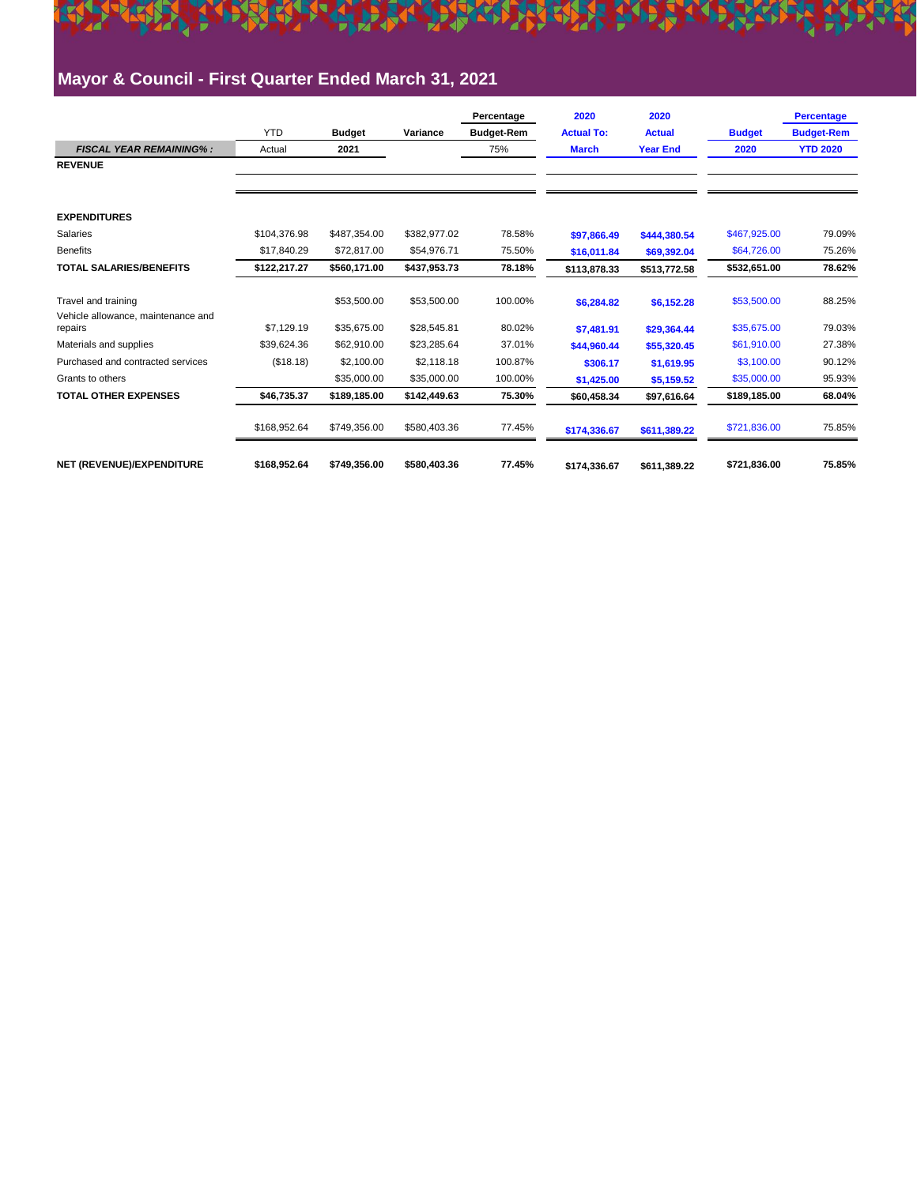### **Mayor & Council - First Quarter Ended March 31, 2021**

|                                               |              |               |              | Percentage        | 2020              | 2020            |               | <b>Percentage</b> |
|-----------------------------------------------|--------------|---------------|--------------|-------------------|-------------------|-----------------|---------------|-------------------|
|                                               | <b>YTD</b>   | <b>Budget</b> | Variance     | <b>Budget-Rem</b> | <b>Actual To:</b> | <b>Actual</b>   | <b>Budget</b> | <b>Budget-Rem</b> |
| <b>FISCAL YEAR REMAINING%:</b>                | Actual       | 2021          |              | 75%               | <b>March</b>      | <b>Year End</b> | 2020          | <b>YTD 2020</b>   |
| <b>REVENUE</b>                                |              |               |              |                   |                   |                 |               |                   |
|                                               |              |               |              |                   |                   |                 |               |                   |
| <b>EXPENDITURES</b>                           |              |               |              |                   |                   |                 |               |                   |
| <b>Salaries</b>                               | \$104.376.98 | \$487,354.00  | \$382,977.02 | 78.58%            | \$97,866.49       | \$444,380.54    | \$467,925.00  | 79.09%            |
| <b>Benefits</b>                               | \$17,840.29  | \$72,817.00   | \$54,976.71  | 75.50%            | \$16,011.84       | \$69,392.04     | \$64,726.00   | 75.26%            |
| <b>TOTAL SALARIES/BENEFITS</b>                | \$122,217.27 | \$560,171.00  | \$437,953.73 | 78.18%            | \$113,878.33      | \$513,772.58    | \$532,651.00  | 78.62%            |
| Travel and training                           |              | \$53,500.00   | \$53,500.00  | 100.00%           | \$6,284.82        | \$6,152.28      | \$53,500.00   | 88.25%            |
| Vehicle allowance, maintenance and<br>repairs | \$7,129.19   | \$35,675.00   | \$28,545.81  | 80.02%            | \$7,481.91        | \$29,364.44     | \$35,675.00   | 79.03%            |
| Materials and supplies                        | \$39,624.36  | \$62,910.00   | \$23,285.64  | 37.01%            | \$44.960.44       | \$55,320.45     | \$61,910.00   | 27.38%            |
| Purchased and contracted services             | (\$18.18)    | \$2,100,00    | \$2.118.18   | 100.87%           | \$306.17          | \$1,619.95      | \$3,100.00    | 90.12%            |
| Grants to others                              |              | \$35,000.00   | \$35,000.00  | 100.00%           | \$1,425.00        | \$5,159.52      | \$35,000.00   | 95.93%            |
| <b>TOTAL OTHER EXPENSES</b>                   | \$46,735.37  | \$189,185.00  | \$142,449.63 | 75.30%            | \$60,458.34       | \$97,616.64     | \$189,185.00  | 68.04%            |
|                                               | \$168,952.64 | \$749,356.00  | \$580,403.36 | 77.45%            | \$174,336.67      | \$611,389.22    | \$721,836.00  | 75.85%            |
| NET (REVENUE)/EXPENDITURE                     | \$168,952.64 | \$749,356.00  | \$580,403.36 | 77.45%            | \$174.336.67      | \$611,389.22    | \$721,836.00  | 75.85%            |

<u> Kristina i Stere i Brandstands blevede</u>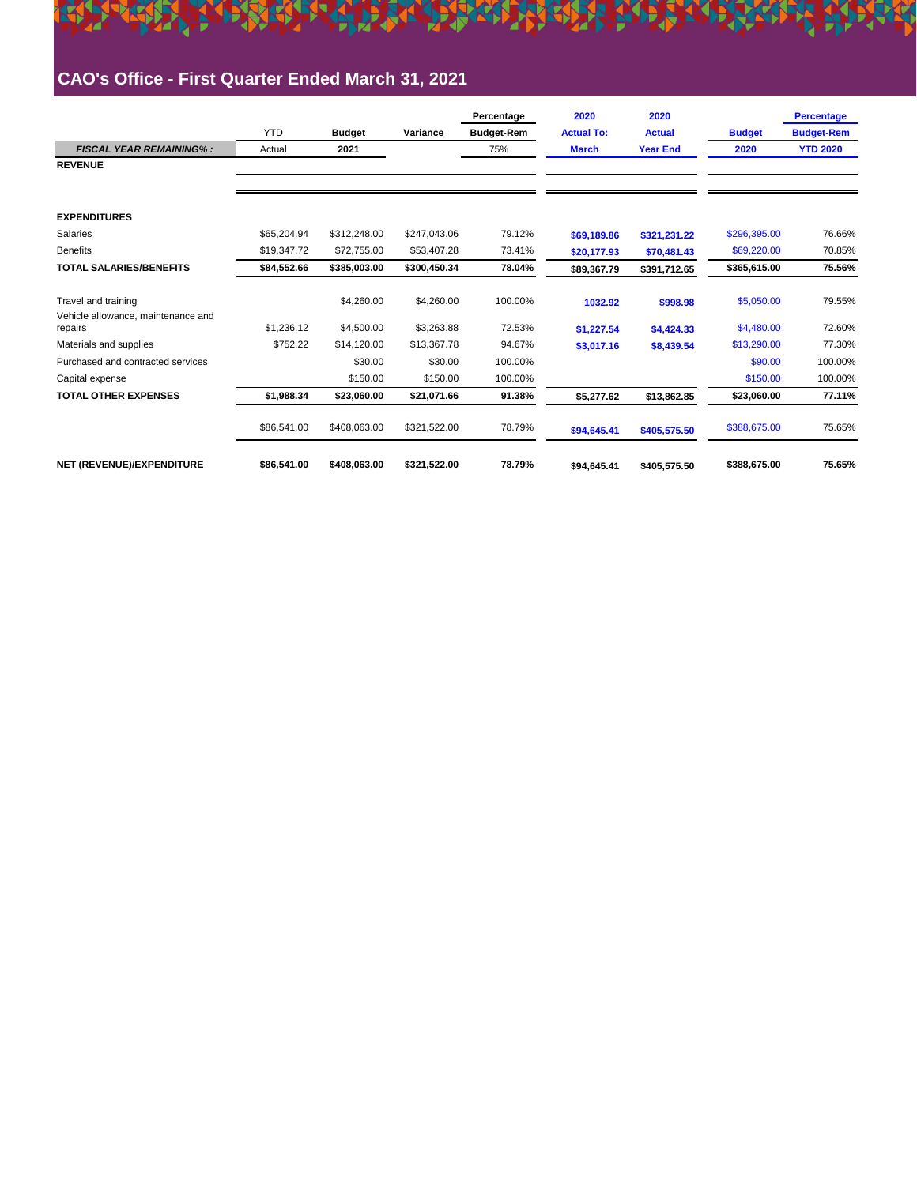

### **CAO's Office - First Quarter Ended March 31, 2021**

|                                               |             |               |              | Percentage        | 2020              | 2020            |               | <b>Percentage</b> |
|-----------------------------------------------|-------------|---------------|--------------|-------------------|-------------------|-----------------|---------------|-------------------|
|                                               | <b>YTD</b>  | <b>Budget</b> | Variance     | <b>Budget-Rem</b> | <b>Actual To:</b> | <b>Actual</b>   | <b>Budget</b> | <b>Budget-Rem</b> |
| <b>FISCAL YEAR REMAINING%:</b>                | Actual      | 2021          |              | 75%               | <b>March</b>      | <b>Year End</b> | 2020          | <b>YTD 2020</b>   |
| <b>REVENUE</b>                                |             |               |              |                   |                   |                 |               |                   |
|                                               |             |               |              |                   |                   |                 |               |                   |
| <b>EXPENDITURES</b>                           |             |               |              |                   |                   |                 |               |                   |
| Salaries                                      | \$65.204.94 | \$312,248.00  | \$247.043.06 | 79.12%            | \$69,189.86       | \$321,231.22    | \$296,395.00  | 76.66%            |
| <b>Benefits</b>                               | \$19,347.72 | \$72,755.00   | \$53,407.28  | 73.41%            | \$20,177.93       | \$70,481.43     | \$69,220.00   | 70.85%            |
| <b>TOTAL SALARIES/BENEFITS</b>                | \$84.552.66 | \$385.003.00  | \$300.450.34 | 78.04%            | \$89,367.79       | \$391,712.65    | \$365,615.00  | 75.56%            |
| Travel and training                           |             | \$4,260.00    | \$4,260.00   | 100.00%           | 1032.92           | \$998.98        | \$5,050.00    | 79.55%            |
| Vehicle allowance, maintenance and<br>repairs | \$1.236.12  | \$4,500.00    | \$3.263.88   | 72.53%            | \$1,227.54        | \$4,424.33      | \$4,480.00    | 72.60%            |
| Materials and supplies                        | \$752.22    | \$14.120.00   | \$13,367.78  | 94.67%            | \$3,017.16        | \$8,439.54      | \$13,290.00   | 77.30%            |
| Purchased and contracted services             |             | \$30.00       | \$30.00      | 100.00%           |                   |                 | \$90.00       | 100.00%           |
| Capital expense                               |             | \$150.00      | \$150.00     | 100.00%           |                   |                 | \$150.00      | 100.00%           |
| <b>TOTAL OTHER EXPENSES</b>                   | \$1.988.34  | \$23,060.00   | \$21,071.66  | 91.38%            | \$5.277.62        | \$13.862.85     | \$23,060.00   | 77.11%            |
|                                               | \$86,541.00 | \$408,063.00  | \$321,522.00 | 78.79%            | \$94,645.41       | \$405,575.50    | \$388,675.00  | 75.65%            |
| NET (REVENUE)/EXPENDITURE                     | \$86.541.00 | \$408.063.00  | \$321.522.00 | 78.79%            | \$94.645.41       | \$405,575.50    | \$388,675.00  | 75.65%            |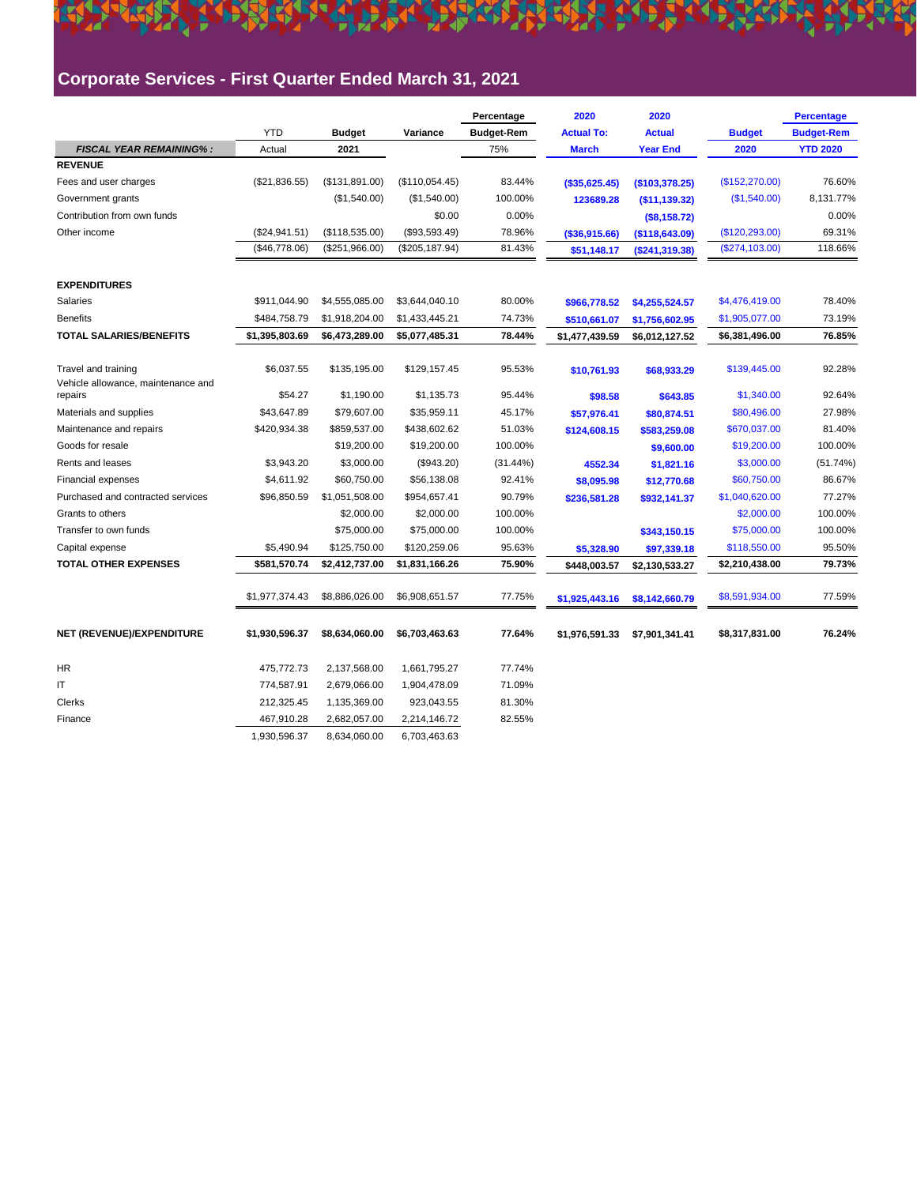### **Corporate Services - First Quarter Ended March 31, 2021**

|                                                           |                |                |                 | Percentage        | 2020              | 2020             |                 | <b>Percentage</b> |
|-----------------------------------------------------------|----------------|----------------|-----------------|-------------------|-------------------|------------------|-----------------|-------------------|
|                                                           | <b>YTD</b>     | <b>Budget</b>  | Variance        | <b>Budget-Rem</b> | <b>Actual To:</b> | <b>Actual</b>    | <b>Budget</b>   | <b>Budget-Rem</b> |
| <b>FISCAL YEAR REMAINING%:</b>                            | Actual         | 2021           |                 | 75%               | <b>March</b>      | <b>Year End</b>  | 2020            | <b>YTD 2020</b>   |
| <b>REVENUE</b>                                            |                |                |                 |                   |                   |                  |                 |                   |
| Fees and user charges                                     | (\$21,836.55)  | (\$131,891.00) | (\$110,054.45)  | 83.44%            | (\$35,625.45)     | (\$103,378.25)   | (\$152,270.00)  | 76.60%            |
| Government grants                                         |                | (\$1,540.00)   | (\$1,540.00)    | 100.00%           | 123689.28         | ( \$11, 139.32)  | (\$1,540.00)    | 8,131.77%         |
| Contribution from own funds                               |                |                | \$0.00          | 0.00%             |                   | (\$8,158.72)     |                 | 0.00%             |
| Other income                                              | (\$24,941.51)  | (\$118,535.00) | (\$93,593.49)   | 78.96%            | ( \$36, 915.66)   | ( \$118, 643.09) | (\$120, 293.00) | 69.31%            |
|                                                           | (\$46,778.06)  | (\$251,966.00) | (\$205, 187.94) | 81.43%            | \$51,148.17       | (\$241,319.38)   | (\$274,103.00)  | 118.66%           |
| <b>EXPENDITURES</b>                                       |                |                |                 |                   |                   |                  |                 |                   |
| Salaries                                                  | \$911,044.90   | \$4,555,085.00 | \$3,644,040.10  | 80.00%            | \$966,778.52      | \$4,255,524.57   | \$4,476,419.00  | 78.40%            |
| <b>Benefits</b>                                           | \$484,758.79   | \$1,918,204.00 | \$1,433,445.21  | 74.73%            | \$510,661.07      | \$1,756,602.95   | \$1,905,077.00  | 73.19%            |
| <b>TOTAL SALARIES/BENEFITS</b>                            | \$1,395,803.69 | \$6,473,289.00 | \$5,077,485.31  | 78.44%            | \$1,477,439.59    | \$6,012,127.52   | \$6,381,496.00  | 76.85%            |
| Travel and training<br>Vehicle allowance, maintenance and | \$6,037.55     | \$135,195.00   | \$129,157.45    | 95.53%            | \$10,761.93       | \$68,933.29      | \$139,445.00    | 92.28%            |
| repairs                                                   | \$54.27        | \$1,190.00     | \$1,135.73      | 95.44%            | \$98.58           | \$643.85         | \$1,340.00      | 92.64%            |
| Materials and supplies                                    | \$43,647.89    | \$79,607.00    | \$35,959.11     | 45.17%            | \$57,976.41       | \$80,874.51      | \$80,496.00     | 27.98%            |
| Maintenance and repairs                                   | \$420,934.38   | \$859,537.00   | \$438,602.62    | 51.03%            | \$124,608.15      | \$583,259.08     | \$670,037.00    | 81.40%            |
| Goods for resale                                          |                | \$19,200.00    | \$19,200.00     | 100.00%           |                   | \$9,600.00       | \$19,200.00     | 100.00%           |
| Rents and leases                                          | \$3,943.20     | \$3,000.00     | (\$943.20)      | $(31.44\%)$       | 4552.34           | \$1,821.16       | \$3,000.00      | (51.74%)          |
| Financial expenses                                        | \$4,611.92     | \$60,750.00    | \$56,138.08     | 92.41%            | \$8,095.98        | \$12,770.68      | \$60,750.00     | 86.67%            |
| Purchased and contracted services                         | \$96,850.59    | \$1,051,508.00 | \$954,657.41    | 90.79%            | \$236,581.28      | \$932,141.37     | \$1,040,620.00  | 77.27%            |
| Grants to others                                          |                | \$2,000.00     | \$2,000.00      | 100.00%           |                   |                  | \$2,000.00      | 100.00%           |
| Transfer to own funds                                     |                | \$75,000.00    | \$75,000.00     | 100.00%           |                   | \$343,150.15     | \$75,000.00     | 100.00%           |
| Capital expense                                           | \$5,490.94     | \$125,750.00   | \$120,259.06    | 95.63%            | \$5,328.90        | \$97,339.18      | \$118,550.00    | 95.50%            |
| <b>TOTAL OTHER EXPENSES</b>                               | \$581,570.74   | \$2,412,737.00 | \$1,831,166.26  | 75.90%            | \$448,003.57      | \$2,130,533.27   | \$2,210,438.00  | 79.73%            |
|                                                           | \$1,977,374.43 | \$8,886,026.00 | \$6,908,651.57  | 77.75%            | \$1,925,443.16    | \$8,142,660.79   | \$8,591,934.00  | 77.59%            |
| NET (REVENUE)/EXPENDITURE                                 | \$1,930,596.37 | \$8,634,060.00 | \$6,703,463.63  | 77.64%            | \$1,976,591.33    | \$7,901,341.41   | \$8,317,831.00  | 76.24%            |
| HR                                                        | 475,772.73     | 2,137,568.00   | 1,661,795.27    | 77.74%            |                   |                  |                 |                   |
| IT                                                        | 774,587.91     | 2,679,066.00   | 1,904,478.09    | 71.09%            |                   |                  |                 |                   |
| Clerks                                                    | 212,325.45     | 1,135,369.00   | 923,043.55      | 81.30%            |                   |                  |                 |                   |
| Finance                                                   | 467,910.28     | 2,682,057.00   | 2,214,146.72    | 82.55%            |                   |                  |                 |                   |
|                                                           | 1,930,596.37   | 8,634,060.00   | 6,703,463.63    |                   |                   |                  |                 |                   |

**ARTISTS AND ARTISTS AND A STREET OF**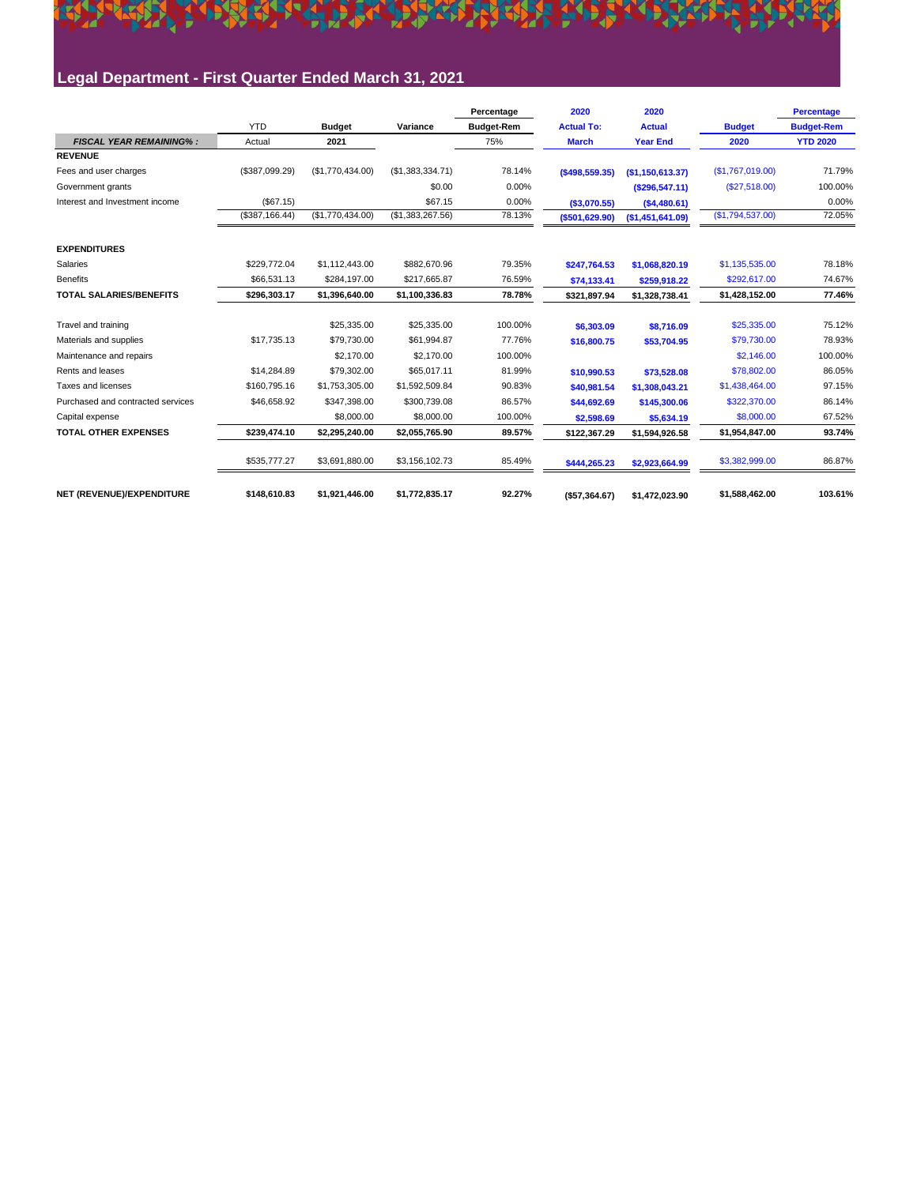## <u>Market Sam China Antara Market in Linding Indian</u>

### **Legal Department - First Quarter Ended March 31, 2021**

|                                   |                 |                  |                  | Percentage        | 2020              | 2020              |                  | <b>Percentage</b> |
|-----------------------------------|-----------------|------------------|------------------|-------------------|-------------------|-------------------|------------------|-------------------|
|                                   | <b>YTD</b>      | <b>Budget</b>    | Variance         | <b>Budget-Rem</b> | <b>Actual To:</b> | <b>Actual</b>     | <b>Budget</b>    | <b>Budget-Rem</b> |
| <b>FISCAL YEAR REMAINING%:</b>    | Actual          | 2021             |                  | 75%               | <b>March</b>      | <b>Year End</b>   | 2020             | <b>YTD 2020</b>   |
| <b>REVENUE</b>                    |                 |                  |                  |                   |                   |                   |                  |                   |
| Fees and user charges             | (\$387,099.29)  | (\$1,770,434.00) | (\$1,383,334.71) | 78.14%            | $($ \$498,559.35) | (S1, 150, 613.37) | (S1,767,019.00)  | 71.79%            |
| Government grants                 |                 |                  | \$0.00           | 0.00%             |                   | (S296, 547.11)    | (\$27,518.00)    | 100.00%           |
| Interest and Investment income    | (\$67.15)       |                  | \$67.15          | 0.00%             | (\$3,070.55)      | (\$4,480.61)      |                  | 0.00%             |
|                                   | (\$387, 166.44) | (\$1,770,434.00) | (\$1,383,267.56) | 78.13%            | ( \$501, 629.90)  | (\$1,451,641.09)  | (\$1,794,537.00) | 72.05%            |
| <b>EXPENDITURES</b>               |                 |                  |                  |                   |                   |                   |                  |                   |
| Salaries                          | \$229,772.04    | \$1.112.443.00   | \$882,670.96     | 79.35%            | \$247,764.53      | \$1,068,820.19    | \$1,135,535.00   | 78.18%            |
| <b>Benefits</b>                   | \$66,531.13     | \$284.197.00     | \$217.665.87     | 76.59%            | \$74,133.41       | \$259,918.22      | \$292,617.00     | 74.67%            |
| <b>TOTAL SALARIES/BENEFITS</b>    | \$296,303.17    | \$1,396,640.00   | \$1,100,336.83   | 78.78%            | \$321.897.94      | \$1,328,738.41    | \$1,428,152.00   | 77.46%            |
| Travel and training               |                 | \$25,335.00      | \$25,335.00      | 100.00%           | \$6,303.09        | \$8,716.09        | \$25,335.00      | 75.12%            |
| Materials and supplies            | \$17,735.13     | \$79,730.00      | \$61.994.87      | 77.76%            | \$16,800.75       | \$53,704.95       | \$79,730.00      | 78.93%            |
| Maintenance and repairs           |                 | \$2,170.00       | \$2,170.00       | 100.00%           |                   |                   | \$2,146.00       | 100.00%           |
| Rents and leases                  | \$14,284.89     | \$79,302.00      | \$65,017.11      | 81.99%            | \$10.990.53       | \$73,528.08       | \$78,802.00      | 86.05%            |
| Taxes and licenses                | \$160,795.16    | \$1,753,305.00   | \$1,592,509.84   | 90.83%            | \$40,981.54       | \$1,308,043.21    | \$1,438,464.00   | 97.15%            |
| Purchased and contracted services | \$46,658.92     | \$347,398.00     | \$300,739.08     | 86.57%            | \$44,692.69       | \$145,300.06      | \$322,370.00     | 86.14%            |
| Capital expense                   |                 | \$8,000.00       | \$8,000.00       | 100.00%           | \$2,598.69        | \$5,634.19        | \$8,000.00       | 67.52%            |
| <b>TOTAL OTHER EXPENSES</b>       | \$239,474.10    | \$2,295,240.00   | \$2,055,765.90   | 89.57%            | \$122.367.29      | \$1,594,926.58    | \$1,954,847.00   | 93.74%            |
|                                   | \$535,777.27    | \$3,691,880.00   | \$3,156,102.73   | 85.49%            | \$444,265.23      | \$2,923,664.99    | \$3,382,999.00   | 86.87%            |
| NET (REVENUE)/EXPENDITURE         | \$148,610.83    | \$1,921,446.00   | \$1,772,835.17   | 92.27%            | (\$57,364.67)     | \$1,472,023.90    | \$1,588,462.00   | 103.61%           |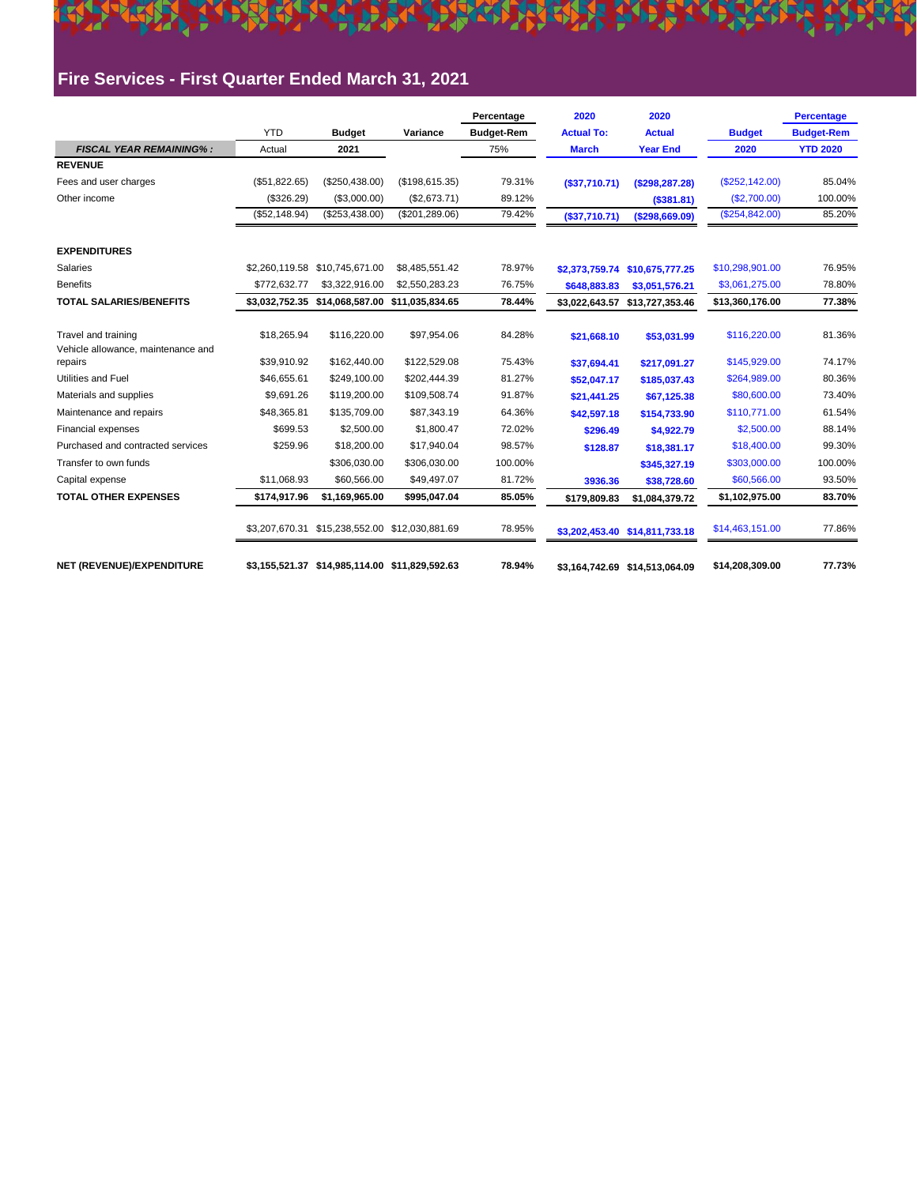### **Fire Services - First Quarter Ended March 31, 2021**

|                                                                      |                            |                                                |                             | Percentage        | 2020                       | 2020                           |                              | <b>Percentage</b> |
|----------------------------------------------------------------------|----------------------------|------------------------------------------------|-----------------------------|-------------------|----------------------------|--------------------------------|------------------------------|-------------------|
|                                                                      | <b>YTD</b>                 | <b>Budget</b>                                  | Variance                    | <b>Budget-Rem</b> | <b>Actual To:</b>          | <b>Actual</b>                  | <b>Budget</b>                | <b>Budget-Rem</b> |
| <b>FISCAL YEAR REMAINING%:</b>                                       | Actual                     | 2021                                           |                             | 75%               | <b>March</b>               | <b>Year End</b>                | 2020                         | <b>YTD 2020</b>   |
| <b>REVENUE</b>                                                       |                            |                                                |                             |                   |                            |                                |                              |                   |
| Fees and user charges                                                | (S51.822.65)               | (\$250,438.00)                                 | (\$198,615.35)              | 79.31%            | (\$37,710.71)              | (\$298, 287.28)                | (\$252,142.00)               | 85.04%            |
| Other income                                                         | (\$326.29)                 | (\$3,000.00)                                   | (\$2,673.71)                | 89.12%            |                            | (\$381.81)                     | (\$2,700.00)                 | 100.00%           |
|                                                                      | (\$52,148.94)              | (\$253,438.00)                                 | (\$201, 289.06)             | 79.42%            | (\$37,710.71)              | ( \$298,669.09)                | (\$254, 842.00)              | 85.20%            |
| <b>EXPENDITURES</b>                                                  |                            |                                                |                             |                   |                            |                                |                              |                   |
| Salaries                                                             | \$2,260,119.58             | \$10,745,671.00                                | \$8,485,551.42              | 78.97%            |                            | \$2,373,759.74 \$10,675,777.25 | \$10,298,901.00              | 76.95%            |
| <b>Benefits</b>                                                      | \$772,632.77               | \$3,322,916.00                                 | \$2,550,283.23              | 76.75%            | \$648,883.83               | \$3,051,576.21                 | \$3,061,275.00               | 78.80%            |
| <b>TOTAL SALARIES/BENEFITS</b>                                       | \$3,032,752.35             | \$14,068,587.00                                | \$11,035,834.65             | 78.44%            | \$3,022,643.57             | \$13,727,353.46                | \$13,360,176.00              | 77.38%            |
| Travel and training<br>Vehicle allowance, maintenance and<br>repairs | \$18,265.94<br>\$39,910.92 | \$116,220.00<br>\$162,440.00                   | \$97,954.06<br>\$122,529.08 | 84.28%<br>75.43%  | \$21,668.10<br>\$37,694.41 | \$53,031.99<br>\$217,091.27    | \$116,220.00<br>\$145,929.00 | 81.36%<br>74.17%  |
| <b>Utilities and Fuel</b>                                            | \$46,655.61                | \$249,100.00                                   | \$202,444.39                | 81.27%            | \$52,047.17                | \$185,037.43                   | \$264,989.00                 | 80.36%            |
| Materials and supplies                                               | \$9.691.26                 | \$119,200.00                                   | \$109,508.74                | 91.87%            | \$21,441.25                | \$67,125.38                    | \$80,600.00                  | 73.40%            |
| Maintenance and repairs                                              | \$48,365.81                | \$135,709.00                                   | \$87,343.19                 | 64.36%            | \$42,597.18                | \$154,733.90                   | \$110,771.00                 | 61.54%            |
| <b>Financial expenses</b>                                            | \$699.53                   | \$2,500.00                                     | \$1.800.47                  | 72.02%            | \$296.49                   | \$4,922.79                     | \$2,500.00                   | 88.14%            |
| Purchased and contracted services                                    | \$259.96                   | \$18,200.00                                    | \$17,940.04                 | 98.57%            | \$128.87                   | \$18,381.17                    | \$18,400.00                  | 99.30%            |
| Transfer to own funds                                                |                            | \$306,030.00                                   | \$306,030.00                | 100.00%           |                            | \$345,327.19                   | \$303,000.00                 | 100.00%           |
| Capital expense                                                      | \$11,068.93                | \$60,566.00                                    | \$49,497.07                 | 81.72%            | 3936.36                    | \$38,728.60                    | \$60,566.00                  | 93.50%            |
| <b>TOTAL OTHER EXPENSES</b>                                          | \$174,917.96               | \$1,169,965.00                                 | \$995,047.04                | 85.05%            | \$179,809.83               | \$1,084,379.72                 | \$1,102,975.00               | 83.70%            |
|                                                                      | \$3,207,670.31             | \$15,238,552.00 \$12,030,881.69                |                             | 78.95%            |                            | \$3,202,453.40 \$14,811,733.18 | \$14,463,151.00              | 77.86%            |
| NET (REVENUE)/EXPENDITURE                                            |                            | \$3,155,521.37 \$14,985,114.00 \$11,829,592.63 |                             | 78.94%            |                            | \$3,164,742.69 \$14,513,064.09 | \$14,208,309.00              | 77.73%            |

**KARATA ADA TERMIRING KALAMA**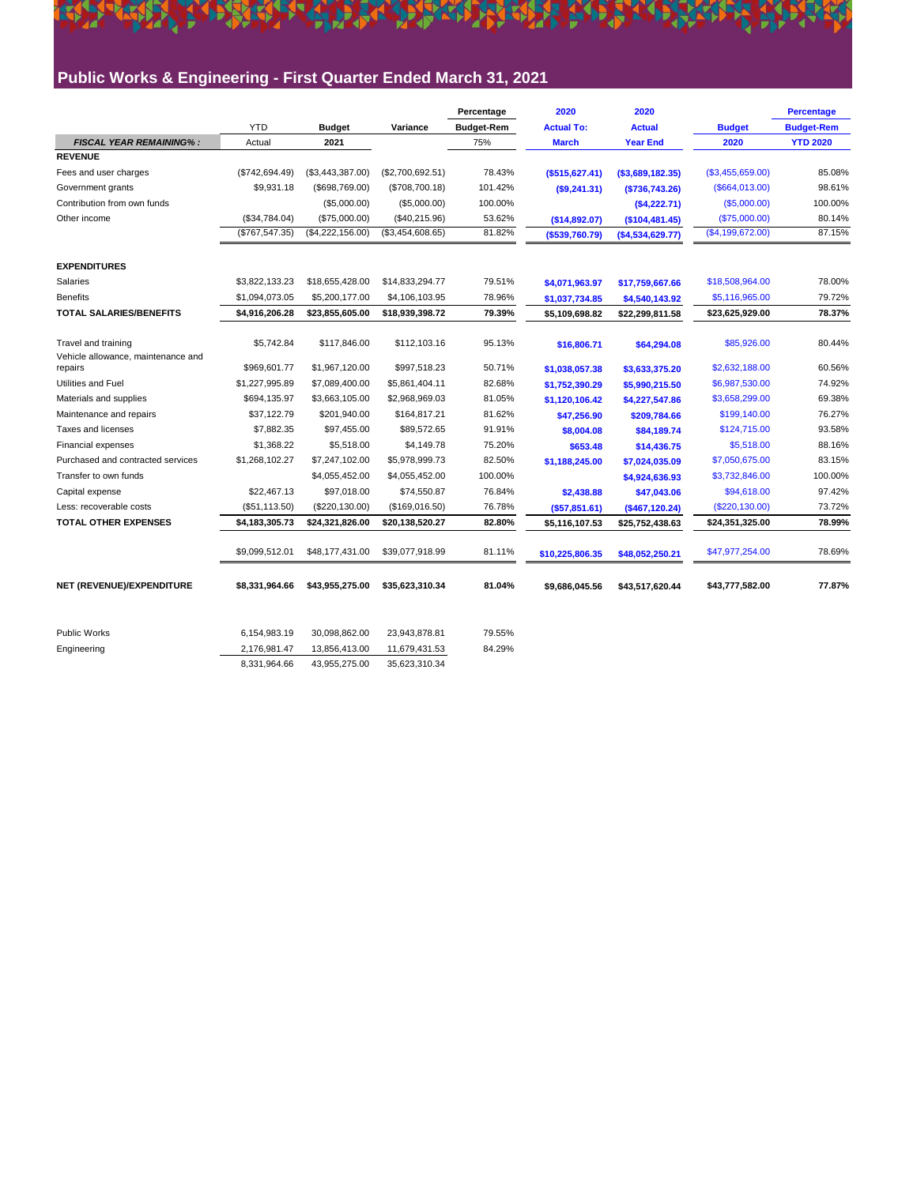### **Public Works & Engineering - First Quarter Ended March 31, 2021**

|                                               |                |                  |                  | Percentage        | 2020              | 2020              |                  | Percentage        |
|-----------------------------------------------|----------------|------------------|------------------|-------------------|-------------------|-------------------|------------------|-------------------|
|                                               | <b>YTD</b>     | <b>Budget</b>    | Variance         | <b>Budget-Rem</b> | <b>Actual To:</b> | <b>Actual</b>     | <b>Budget</b>    | <b>Budget-Rem</b> |
| <b>FISCAL YEAR REMAINING%:</b>                | Actual         | 2021             |                  | 75%               | <b>March</b>      | <b>Year End</b>   | 2020             | <b>YTD 2020</b>   |
| <b>REVENUE</b>                                |                |                  |                  |                   |                   |                   |                  |                   |
| Fees and user charges                         | (\$742,694.49) | (\$3,443,387.00) | (\$2,700,692.51) | 78.43%            | $($ \$515,627.41) | ( \$3,689,182.35) | (\$3,455,659.00) | 85.08%            |
| Government grants                             | \$9,931.18     | (\$698,769.00)   | (\$708,700.18)   | 101.42%           | $($ \$9,241.31)   | ( \$736, 743.26)  | (\$664,013.00)   | 98.61%            |
| Contribution from own funds                   |                | (\$5,000.00)     | (\$5,000.00)     | 100.00%           |                   | (\$4,222.71)      | (\$5,000.00)     | 100.00%           |
| Other income                                  | (\$34,784.04)  | (\$75,000.00)    | (\$40,215.96)    | 53.62%            | (\$14,892.07)     | (\$104,481.45)    | (\$75,000.00)    | 80.14%            |
|                                               | (\$767,547.35) | (\$4,222,156.00) | (\$3,454,608.65) | 81.82%            | ( \$539,760.79)   | (\$4,534,629.77)  | (\$4,199,672.00) | 87.15%            |
| <b>EXPENDITURES</b>                           |                |                  |                  |                   |                   |                   |                  |                   |
| Salaries                                      | \$3,822,133.23 | \$18,655,428.00  | \$14,833,294.77  | 79.51%            | \$4,071,963.97    | \$17,759,667.66   | \$18,508,964.00  | 78.00%            |
| <b>Benefits</b>                               | \$1,094,073.05 | \$5,200,177.00   | \$4,106,103.95   | 78.96%            | \$1,037,734.85    | \$4,540,143.92    | \$5,116,965.00   | 79.72%            |
| <b>TOTAL SALARIES/BENEFITS</b>                | \$4,916,206.28 | \$23,855,605.00  | \$18,939,398.72  | 79.39%            | \$5,109,698.82    | \$22,299,811.58   | \$23,625,929.00  | 78.37%            |
|                                               |                |                  |                  |                   |                   |                   |                  |                   |
| Travel and training                           | \$5,742.84     | \$117,846.00     | \$112,103.16     | 95.13%            | \$16,806.71       | \$64,294.08       | \$85,926.00      | 80.44%            |
| Vehicle allowance, maintenance and<br>repairs | \$969,601.77   | \$1,967,120.00   | \$997,518.23     | 50.71%            | \$1,038,057.38    | \$3,633,375.20    | \$2,632,188.00   | 60.56%            |
| Utilities and Fuel                            | \$1,227,995.89 | \$7,089,400.00   | \$5,861,404.11   | 82.68%            | \$1,752,390.29    | \$5,990,215.50    | \$6,987,530.00   | 74.92%            |
| Materials and supplies                        | \$694,135.97   | \$3,663,105.00   | \$2,968,969.03   | 81.05%            | \$1,120,106.42    | \$4,227,547.86    | \$3,658,299.00   | 69.38%            |
| Maintenance and repairs                       | \$37,122.79    | \$201,940.00     | \$164,817.21     | 81.62%            | \$47,256.90       | \$209,784.66      | \$199,140.00     | 76.27%            |
| Taxes and licenses                            | \$7,882.35     | \$97,455.00      | \$89,572.65      | 91.91%            | \$8,004.08        | \$84,189.74       | \$124,715.00     | 93.58%            |
| Financial expenses                            | \$1,368.22     | \$5,518.00       | \$4,149.78       | 75.20%            | \$653.48          | \$14,436.75       | \$5,518.00       | 88.16%            |
| Purchased and contracted services             | \$1,268,102.27 | \$7,247,102.00   | \$5,978,999.73   | 82.50%            | \$1,188,245.00    | \$7,024,035.09    | \$7,050,675.00   | 83.15%            |
| Transfer to own funds                         |                | \$4,055,452.00   | \$4,055,452.00   | 100.00%           |                   | \$4,924,636.93    | \$3,732,846.00   | 100.00%           |
| Capital expense                               | \$22,467.13    | \$97,018.00      | \$74,550.87      | 76.84%            | \$2,438.88        | \$47,043.06       | \$94,618.00      | 97.42%            |
| Less: recoverable costs                       | (\$51,113.50)  | (\$220,130.00)   | (\$169,016.50)   | 76.78%            | ( \$57, 851.61)   | (\$467,120.24)    | (\$220,130.00)   | 73.72%            |
| <b>TOTAL OTHER EXPENSES</b>                   | \$4,183,305.73 | \$24,321,826.00  | \$20,138,520.27  | 82.80%            | \$5,116,107.53    | \$25,752,438.63   | \$24,351,325.00  | 78.99%            |
|                                               | \$9,099,512.01 | \$48,177,431.00  | \$39,077,918.99  | 81.11%            | \$10,225,806.35   | \$48,052,250.21   | \$47,977,254.00  | 78.69%            |
| NET (REVENUE)/EXPENDITURE                     | \$8.331.964.66 | \$43,955,275.00  | \$35,623,310.34  | 81.04%            | \$9,686,045.56    | \$43,517,620.44   | \$43,777,582.00  | 77.87%            |
| <b>Public Works</b>                           |                |                  |                  |                   |                   |                   |                  |                   |
|                                               | 6,154,983.19   | 30,098,862.00    | 23,943,878.81    | 79.55%            |                   |                   |                  |                   |
| Engineering                                   | 2,176,981.47   | 13,856,413.00    | 11,679,431.53    | 84.29%            |                   |                   |                  |                   |
|                                               | 8.331.964.66   | 43.955.275.00    | 35.623.310.34    |                   |                   |                   |                  |                   |

<u> 1995 beskule tilbraðandiska tilbandinna Heimi</u>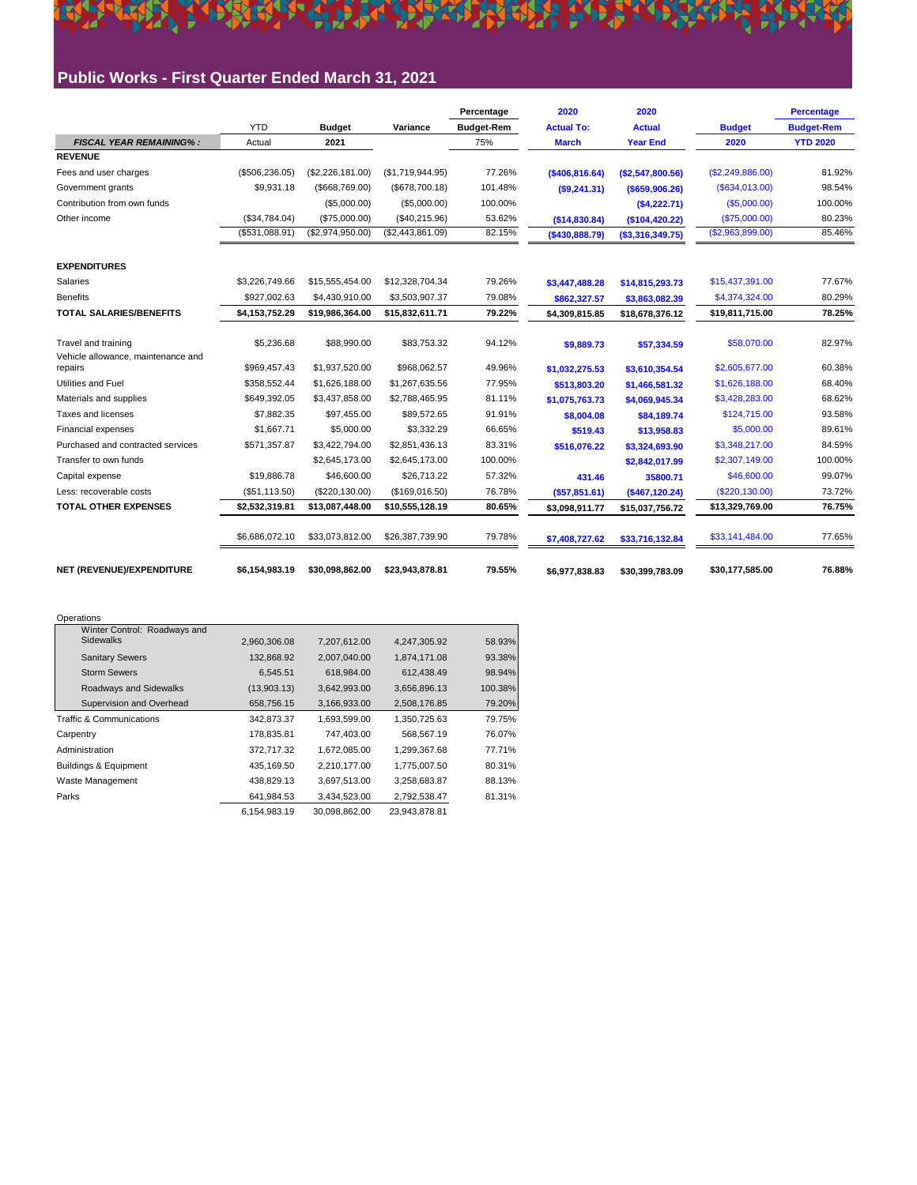### **Public Works - First Quarter Ended March 31, 2021**

**SSE** 

**PARK** 

不

|                                                           |                              |                                  |                                  | Percentage        | 2020                   | 2020                       |                                  | <b>Percentage</b> |
|-----------------------------------------------------------|------------------------------|----------------------------------|----------------------------------|-------------------|------------------------|----------------------------|----------------------------------|-------------------|
|                                                           | <b>YTD</b>                   | <b>Budget</b>                    | Variance                         | <b>Budget-Rem</b> | <b>Actual To:</b>      | <b>Actual</b>              | <b>Budget</b>                    | <b>Budget-Rem</b> |
| <b>FISCAL YEAR REMAINING%:</b>                            | Actual                       | 2021                             |                                  | 75%               | <b>March</b>           | <b>Year End</b>            | 2020                             | <b>YTD 2020</b>   |
| <b>REVENUE</b>                                            |                              |                                  |                                  |                   |                        |                            |                                  |                   |
| Fees and user charges                                     | (\$506, 236.05)              | (\$2,226,181.00)                 | (\$1,719,944.95)                 | 77.26%            | (\$406,816.64)         | (\$2,547,800.56)           | (\$2,249,886.00)                 | 81.92%            |
| Government grants                                         | \$9,931.18                   | ( \$668, 769.00)                 | (\$678,700.18)                   | 101.48%           | (S9, 241.31)           | ( \$659, 906.26)           | (\$634,013.00)                   | 98.54%            |
| Contribution from own funds                               |                              | (\$5,000.00)                     | (\$5,000.00)                     | 100.00%           |                        | (\$4,222.71)               | (S5,000.00)                      | 100.00%           |
| Other income                                              | (\$34,784.04)                | (\$75,000.00)                    | (\$40,215.96)                    | 53.62%            | (\$14,830.84)          | (\$104,420.22)             | (\$75,000.00)                    | 80.23%            |
|                                                           | (\$531,088.91)               | (\$2,974,950.00)                 | (\$2,443,861.09)                 | 82.15%            | ( \$430, 888.79)       | ( \$3,316,349.75)          | (\$2,963,899.00)                 | 85.46%            |
| <b>EXPENDITURES</b>                                       |                              |                                  |                                  |                   |                        |                            |                                  |                   |
| Salaries                                                  | \$3,226,749.66               | \$15,555,454.00                  | \$12,328,704.34                  | 79.26%            | \$3,447,488.28         | \$14,815,293.73            | \$15,437,391.00                  | 77.67%            |
| <b>Benefits</b>                                           | \$927,002.63                 | \$4,430,910.00                   | \$3,503,907.37                   | 79.08%            | \$862,327.57           | \$3,863,082.39             | \$4,374,324.00                   | 80.29%            |
| <b>TOTAL SALARIES/BENEFITS</b>                            | \$4,153,752.29               | \$19,986,364.00                  | \$15,832,611.71                  | 79.22%            | \$4,309,815.85         | \$18.678.376.12            | \$19,811,715.00                  | 78.25%            |
| Travel and training<br>Vehicle allowance, maintenance and | \$5,236.68<br>\$969,457.43   | \$88,990.00<br>\$1,937,520.00    | \$83,753.32<br>\$968,062.57      | 94.12%<br>49.96%  | \$9,889.73             | \$57,334.59                | \$58,070.00<br>\$2,605,677.00    | 82.97%<br>60.38%  |
| repairs<br>Utilities and Fuel                             |                              |                                  |                                  |                   | \$1,032,275.53         | \$3,610,354.54             |                                  |                   |
| Materials and supplies                                    | \$358,552.44<br>\$649.392.05 | \$1,626,188.00<br>\$3,437,858.00 | \$1,267,635.56<br>\$2,788,465.95 | 77.95%<br>81.11%  | \$513,803.20           | \$1,466,581.32             | \$1,626,188.00<br>\$3,428,283.00 | 68.40%<br>68.62%  |
| Taxes and licenses                                        | \$7,882.35                   | \$97,455.00                      | \$89.572.65                      | 91.91%            | \$1,075,763.73         | \$4,069,945.34             | \$124,715.00                     | 93.58%            |
| Financial expenses                                        | \$1,667.71                   | \$5,000.00                       | \$3,332.29                       | 66.65%            | \$8,004.08<br>\$519.43 | \$84,189.74<br>\$13,958.83 | \$5,000.00                       | 89.61%            |
| Purchased and contracted services                         | \$571,357.87                 | \$3,422,794.00                   | \$2,851,436.13                   | 83.31%            | \$516,076.22           | \$3,324,693.90             | \$3,348,217.00                   | 84.59%            |
| Transfer to own funds                                     |                              | \$2,645,173.00                   | \$2,645,173.00                   | 100.00%           |                        | \$2,842,017.99             | \$2,307,149.00                   | 100.00%           |
| Capital expense                                           | \$19,886.78                  | \$46,600.00                      | \$26,713.22                      | 57.32%            | 431.46                 | 35800.71                   | \$46,600.00                      | 99.07%            |
| Less: recoverable costs                                   | (\$51,113.50)                | (\$220, 130.00)                  | (\$169,016.50)                   | 76.78%            | (\$57,851.61)          | (\$467,120.24)             | (S220, 130.00)                   | 73.72%            |
| <b>TOTAL OTHER EXPENSES</b>                               | \$2,532,319.81               | \$13,087,448.00                  | \$10,555,128.19                  | 80.65%            | \$3,098,911.77         | \$15,037,756.72            | \$13,329,769.00                  | 76.75%            |
|                                                           | \$6,686,072.10               | \$33,073,812.00                  | \$26,387,739.90                  | 79.78%            | \$7,408,727.62         | \$33,716,132.84            | \$33,141,484.00                  | 77.65%            |
| NET (REVENUE)/EXPENDITURE                                 | \$6,154,983.19               | \$30,098,862.00                  | \$23,943,878.81                  | 79.55%            | \$6,977,838.83         | \$30,399,783.09            | \$30,177,585.00                  | 76.88%            |

番

**DEA** 

| Operations                                       |              |               |               |         |
|--------------------------------------------------|--------------|---------------|---------------|---------|
| Winter Control: Roadways and<br><b>Sidewalks</b> | 2,960,306.08 | 7,207,612.00  | 4,247,305.92  | 58.93%  |
| <b>Sanitary Sewers</b>                           | 132,868.92   | 2,007,040.00  | 1,874,171.08  | 93.38%  |
| <b>Storm Sewers</b>                              | 6,545.51     | 618,984.00    | 612,438.49    | 98.94%  |
| Roadways and Sidewalks                           | (13,903.13)  | 3,642,993.00  | 3,656,896.13  | 100.38% |
| Supervision and Overhead                         | 658,756.15   | 3.166.933.00  | 2,508,176.85  | 79.20%  |
| <b>Traffic &amp; Communications</b>              | 342,873.37   | 1,693,599.00  | 1,350,725.63  | 79.75%  |
| Carpentry                                        | 178,835.81   | 747,403.00    | 568,567.19    | 76.07%  |
| Administration                                   | 372,717.32   | 1,672,085.00  | 1,299,367.68  | 77.71%  |
| <b>Buildings &amp; Equipment</b>                 | 435,169.50   | 2,210,177.00  | 1,775,007.50  | 80.31%  |
| Waste Management                                 | 438,829.13   | 3,697,513.00  | 3,258,683.87  | 88.13%  |
| Parks                                            | 641.984.53   | 3.434.523.00  | 2,792,538.47  | 81.31%  |
|                                                  | 6,154,983.19 | 30,098,862.00 | 23,943,878.81 |         |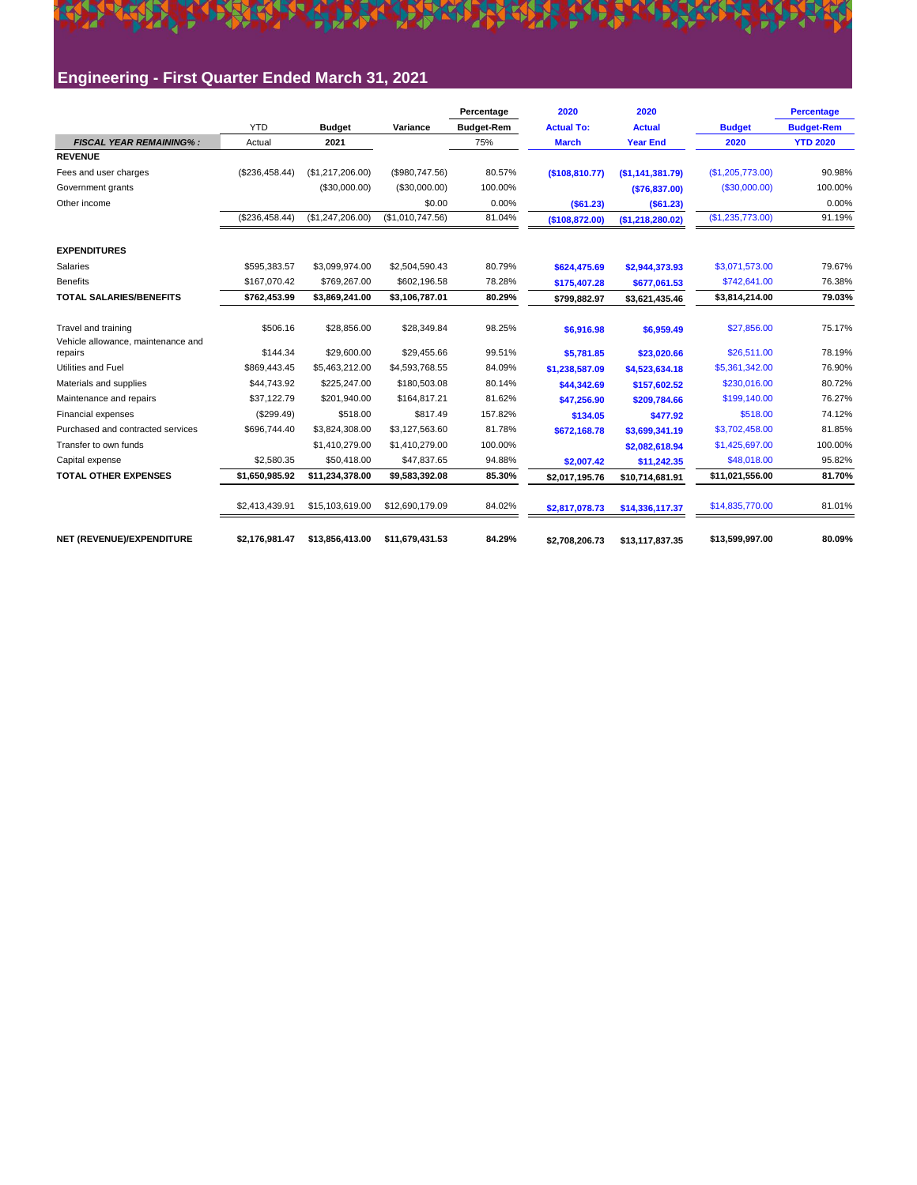### <u> Kristinal (Robert Brander Brother Brothern Brothern Brothern Brothern Brothern Brothern Brothern Brothern Bro</u> Engineering - First Quarter Ended March 31, 2021

XXX

|                                                           |                |                  |                  | Percentage        | 2020              | 2020              |                   | <b>Percentage</b> |
|-----------------------------------------------------------|----------------|------------------|------------------|-------------------|-------------------|-------------------|-------------------|-------------------|
|                                                           | <b>YTD</b>     | <b>Budget</b>    | Variance         | <b>Budget-Rem</b> | <b>Actual To:</b> | <b>Actual</b>     | <b>Budget</b>     | <b>Budget-Rem</b> |
| <b>FISCAL YEAR REMAINING%:</b>                            | Actual         | 2021             |                  | 75%               | <b>March</b>      | <b>Year End</b>   | 2020              | <b>YTD 2020</b>   |
| <b>REVENUE</b>                                            |                |                  |                  |                   |                   |                   |                   |                   |
| Fees and user charges                                     | (\$236,458.44) | (\$1,217,206.00) | (\$980,747.56)   | 80.57%            | (\$108,810.77)    | (\$1,141,381.79)  | (S1, 205, 773.00) | 90.98%            |
| Government grants                                         |                | (\$30,000.00)    | (\$30,000.00)    | 100.00%           |                   | (\$76,837.00)     | (S30,000.00)      | 100.00%           |
| Other income                                              |                |                  | \$0.00           | 0.00%             | ( \$61.23)        | ( \$61.23)        |                   | 0.00%             |
|                                                           | (\$236,458.44) | (\$1,247,206.00) | (\$1,010,747.56) | 81.04%            | (\$108,872.00)    | (S1, 218, 280.02) | (\$1,235,773.00)  | 91.19%            |
| <b>EXPENDITURES</b>                                       |                |                  |                  |                   |                   |                   |                   |                   |
| Salaries                                                  | \$595.383.57   | \$3,099,974.00   | \$2,504,590.43   | 80.79%            | \$624,475.69      | \$2,944,373.93    | \$3.071.573.00    | 79.67%            |
| <b>Benefits</b>                                           | \$167,070.42   | \$769,267.00     | \$602,196.58     | 78.28%            | \$175,407.28      | \$677,061.53      | \$742,641.00      | 76.38%            |
| <b>TOTAL SALARIES/BENEFITS</b>                            | \$762,453.99   | \$3,869,241.00   | \$3,106,787.01   | 80.29%            | \$799,882.97      | \$3,621,435.46    | \$3,814,214.00    | 79.03%            |
| Travel and training<br>Vehicle allowance, maintenance and | \$506.16       | \$28,856.00      | \$28,349.84      | 98.25%            | \$6.916.98        | \$6,959.49        | \$27,856.00       | 75.17%            |
| repairs                                                   | \$144.34       | \$29,600.00      | \$29,455.66      | 99.51%            | \$5,781.85        | \$23,020.66       | \$26,511.00       | 78.19%            |
| Utilities and Fuel                                        | \$869,443.45   | \$5,463,212.00   | \$4,593,768.55   | 84.09%            | \$1,238,587.09    | \$4,523,634.18    | \$5,361,342.00    | 76.90%            |
| Materials and supplies                                    | \$44,743.92    | \$225,247.00     | \$180,503.08     | 80.14%            | \$44,342.69       | \$157,602.52      | \$230,016.00      | 80.72%            |
| Maintenance and repairs                                   | \$37,122.79    | \$201,940.00     | \$164,817.21     | 81.62%            | \$47,256.90       | \$209,784.66      | \$199,140.00      | 76.27%            |
| Financial expenses                                        | (\$299.49)     | \$518.00         | \$817.49         | 157.82%           | \$134.05          | \$477.92          | \$518.00          | 74.12%            |
| Purchased and contracted services                         | \$696,744.40   | \$3,824,308.00   | \$3,127,563.60   | 81.78%            | \$672,168.78      | \$3,699,341.19    | \$3,702,458.00    | 81.85%            |
| Transfer to own funds                                     |                | \$1,410,279.00   | \$1,410,279.00   | 100.00%           |                   | \$2,082,618.94    | \$1,425,697.00    | 100.00%           |
| Capital expense                                           | \$2,580.35     | \$50,418.00      | \$47,837.65      | 94.88%            | \$2,007.42        | \$11,242.35       | \$48,018.00       | 95.82%            |
| <b>TOTAL OTHER EXPENSES</b>                               | \$1.650.985.92 | \$11,234,378.00  | \$9,583,392.08   | 85.30%            | \$2,017,195.76    | \$10,714,681.91   | \$11,021,556.00   | 81.70%            |
|                                                           | \$2,413,439.91 | \$15,103,619.00  | \$12,690,179.09  | 84.02%            | \$2,817,078.73    | \$14,336,117.37   | \$14,835,770.00   | 81.01%            |
| NET (REVENUE)/EXPENDITURE                                 | \$2,176,981.47 | \$13,856,413.00  | \$11,679,431.53  | 84.29%            | \$2,708,206.73    | \$13,117,837.35   | \$13,599,997.00   | 80.09%            |

333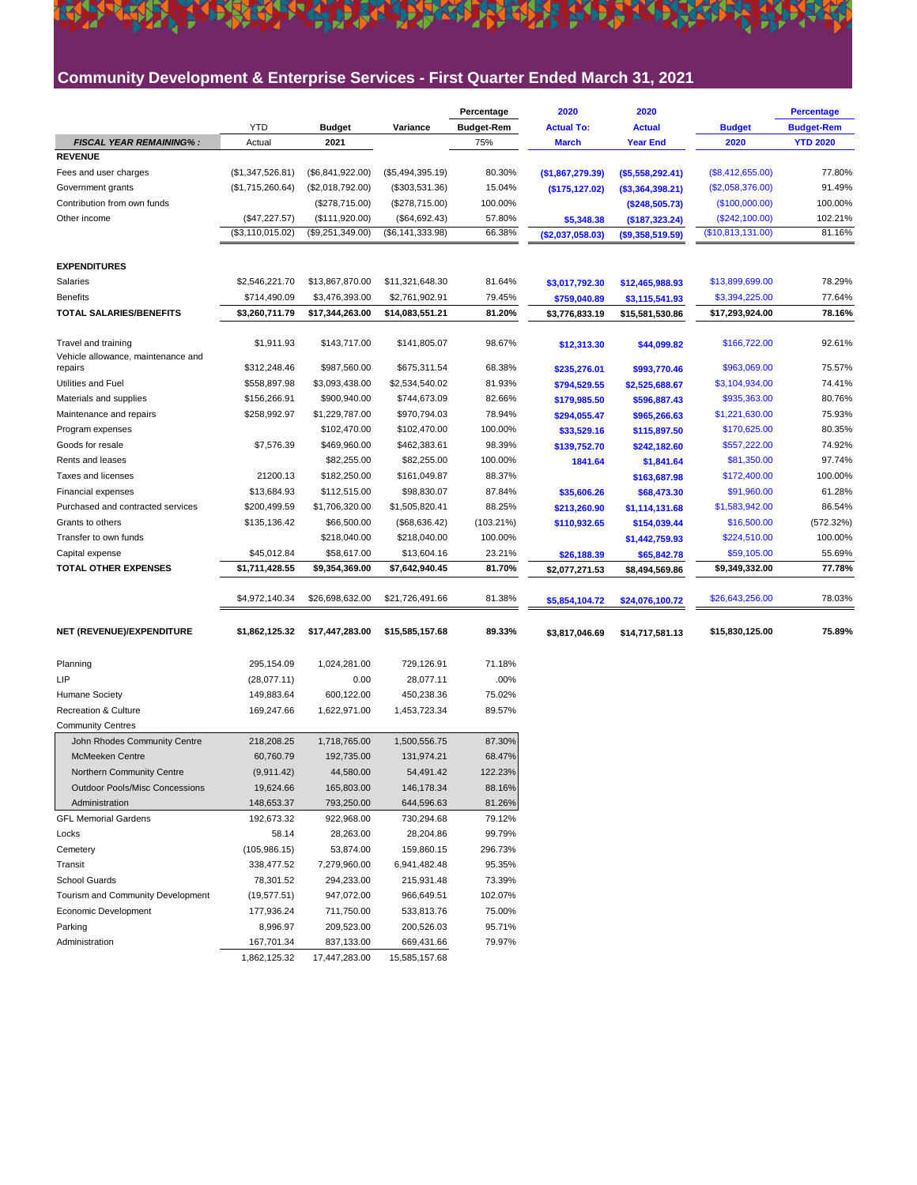### **Community Development & Enterprise Services - First Quarter Ended March 31, 2021**

<u> 1995 beskule tilbraðandiska tilbandinna Heimi</u>

|                                                           |                              |                                |                                | Percentage        | 2020              | 2020              |                                | <b>Percentage</b> |
|-----------------------------------------------------------|------------------------------|--------------------------------|--------------------------------|-------------------|-------------------|-------------------|--------------------------------|-------------------|
|                                                           | <b>YTD</b>                   | <b>Budget</b>                  | Variance                       | <b>Budget-Rem</b> | <b>Actual To:</b> | <b>Actual</b>     | <b>Budget</b>                  | <b>Budget-Rem</b> |
| <b>FISCAL YEAR REMAINING%:</b>                            | Actual                       | 2021                           |                                | 75%               | <b>March</b>      | <b>Year End</b>   | 2020                           | <b>YTD 2020</b>   |
| <b>REVENUE</b>                                            |                              |                                |                                |                   |                   |                   |                                |                   |
| Fees and user charges                                     | (\$1,347,526.81)             | (\$6,841,922.00)               | (\$5,494,395.19)               | 80.30%            | (\$1,867,279.39)  | ( \$5,558,292.41) | (\$8,412,655.00)               | 77.80%            |
| Government grants                                         | (\$1,715,260.64)             | (\$2,018,792.00)               | (\$303,531.36)                 | 15.04%            | (\$175, 127.02)   | (\$3,364,398.21)  | (\$2,058,376.00)               | 91.49%            |
| Contribution from own funds                               |                              | (\$278,715.00)                 | (\$278,715.00)                 | 100.00%           |                   | (\$248,505.73)    | (\$100,000.00)                 | 100.00%           |
| Other income                                              | (\$47,227.57)                | (\$111,920.00)                 | (\$64,692.43)                  | 57.80%            | \$5,348.38        | (\$187,323.24)    | (\$242,100.00)                 | 102.21%           |
|                                                           | (\$3,110,015.02)             | (\$9,251,349.00)               | (\$6, 141, 333.98)             | 66.38%            | (\$2,037,058.03)  | ( \$9,358,519.59) | (\$10,813,131.00)              | 81.16%            |
| <b>EXPENDITURES</b>                                       |                              |                                |                                |                   |                   |                   |                                |                   |
| Salaries                                                  | \$2,546,221.70               | \$13,867,870.00                | \$11,321,648.30                | 81.64%            | \$3,017,792.30    | \$12,465,988.93   | \$13,899,699.00                | 78.29%            |
| <b>Benefits</b>                                           | \$714,490.09                 | \$3,476,393.00                 | \$2,761,902.91                 | 79.45%            | \$759,040.89      | \$3,115,541.93    | \$3,394,225.00                 | 77.64%            |
| <b>TOTAL SALARIES/BENEFITS</b>                            | \$3,260,711.79               | \$17,344,263.00                | \$14,083,551.21                | 81.20%            | \$3,776,833.19    | \$15,581,530.86   | \$17,293,924.00                | 78.16%            |
|                                                           | \$1,911.93                   | \$143,717.00                   | \$141,805.07                   | 98.67%            |                   |                   | \$166,722.00                   | 92.61%            |
| Travel and training<br>Vehicle allowance, maintenance and |                              |                                |                                |                   | \$12,313.30       | \$44,099.82       |                                |                   |
| repairs<br>Utilities and Fuel                             | \$312,248.46<br>\$558,897.98 | \$987,560.00<br>\$3,093,438.00 | \$675,311.54<br>\$2,534,540.02 | 68.38%<br>81.93%  | \$235,276.01      | \$993,770.46      | \$963,069.00<br>\$3,104,934.00 | 75.57%<br>74.41%  |
|                                                           | \$156,266.91                 |                                | \$744,673.09                   | 82.66%            | \$794,529.55      | \$2,525,688.67    | \$935,363.00                   | 80.76%            |
| Materials and supplies                                    |                              | \$900,940.00<br>\$1,229,787.00 |                                |                   | \$179,985.50      | \$596,887.43      |                                |                   |
| Maintenance and repairs                                   | \$258,992.97                 | \$102,470.00                   | \$970,794.03                   | 78.94%            | \$294,055.47      | \$965,266.63      | \$1,221,630.00<br>\$170,625.00 | 75.93%            |
| Program expenses                                          |                              |                                | \$102,470.00                   | 100.00%           | \$33,529.16       | \$115,897.50      |                                | 80.35%            |
| Goods for resale                                          | \$7,576.39                   | \$469,960.00                   | \$462,383.61                   | 98.39%            | \$139,752.70      | \$242,182.60      | \$557,222.00                   | 74.92%            |
| Rents and leases                                          |                              | \$82,255.00                    | \$82,255.00                    | 100.00%           | 1841.64           | \$1,841.64        | \$81,350.00                    | 97.74%            |
| Taxes and licenses                                        | 21200.13                     | \$182,250.00                   | \$161,049.87                   | 88.37%            |                   | \$163,687.98      | \$172,400.00                   | 100.00%           |
| Financial expenses                                        | \$13,684.93                  | \$112,515.00                   | \$98,830.07                    | 87.84%            | \$35,606.26       | \$68,473.30       | \$91,960.00                    | 61.28%            |
| Purchased and contracted services                         | \$200,499.59                 | \$1,706,320.00                 | \$1,505,820.41                 | 88.25%            | \$213,260.90      | \$1,114,131.68    | \$1,583,942.00                 | 86.54%            |
| Grants to others                                          | \$135,136.42                 | \$66,500.00                    | (\$68,636.42)                  | (103.21%)         | \$110,932.65      | \$154,039.44      | \$16,500.00                    | (572.32%)         |
| Transfer to own funds                                     |                              | \$218,040.00                   | \$218,040.00                   | 100.00%           |                   | \$1,442,759.93    | \$224,510.00                   | 100.00%           |
| Capital expense                                           | \$45,012.84                  | \$58,617.00                    | \$13,604.16                    | 23.21%            | \$26,188.39       | \$65,842.78       | \$59,105.00                    | 55.69%            |
| TOTAL OTHER EXPENSES                                      | \$1,711,428.55               | \$9,354,369.00                 | \$7,642,940.45                 | 81.70%            | \$2,077,271.53    | \$8,494,569.86    | \$9,349,332.00                 | 77.78%            |
|                                                           | \$4,972,140.34               | \$26,698,632.00                | \$21,726,491.66                | 81.38%            | \$5,854,104.72    | \$24,076,100.72   | \$26,643,256.00                | 78.03%            |
| NET (REVENUE)/EXPENDITURE                                 | \$1,862,125.32               | \$17,447,283.00                | \$15,585,157.68                | 89.33%            | \$3,817,046.69    | \$14,717,581.13   | \$15,830,125.00                | 75.89%            |
| Planning                                                  | 295,154.09                   | 1,024,281.00                   | 729,126.91                     | 71.18%            |                   |                   |                                |                   |
| LIP                                                       | (28,077.11)                  | 0.00                           | 28,077.11                      | .00%              |                   |                   |                                |                   |
| <b>Humane Society</b>                                     | 149,883.64                   | 600,122.00                     | 450,238.36                     | 75.02%            |                   |                   |                                |                   |
| <b>Recreation &amp; Culture</b>                           | 169,247.66                   | 1,622,971.00                   | 1,453,723.34                   | 89.57%            |                   |                   |                                |                   |
| <b>Community Centres</b>                                  |                              |                                |                                |                   |                   |                   |                                |                   |
| John Rhodes Community Centre                              | 218,208.25                   | 1,718,765.00                   | 1,500,556.75                   | 87.30%            |                   |                   |                                |                   |
| <b>McMeeken Centre</b>                                    | 60,760.79                    | 192,735.00                     | 131,974.21                     | 68.47%            |                   |                   |                                |                   |
| Northern Community Centre                                 | (9,911.42)                   | 44,580.00                      | 54,491.42                      | 122.23%           |                   |                   |                                |                   |
| <b>Outdoor Pools/Misc Concessions</b>                     | 19,624.66                    |                                |                                |                   |                   |                   |                                |                   |
|                                                           |                              | 165,803.00                     | 146,178.34                     | 88.16%            |                   |                   |                                |                   |
| Administration                                            | 148,653.37                   | 793,250.00                     | 644,596.63                     | 81.26%            |                   |                   |                                |                   |
| <b>GFL Memorial Gardens</b>                               | 192,673.32                   | 922,968.00                     | 730,294.68                     | 79.12%            |                   |                   |                                |                   |
| Locks                                                     | 58.14                        | 28,263.00                      | 28,204.86                      | 99.79%            |                   |                   |                                |                   |
| Cemetery                                                  | (105, 986.15)                | 53,874.00                      | 159,860.15                     | 296.73%           |                   |                   |                                |                   |
| Transit                                                   | 338,477.52                   | 7,279,960.00                   | 6,941,482.48                   | 95.35%            |                   |                   |                                |                   |
| School Guards                                             | 78,301.52                    | 294,233.00                     | 215,931.48                     | 73.39%            |                   |                   |                                |                   |
| Tourism and Community Development                         | (19, 577.51)                 | 947,072.00                     | 966,649.51                     | 102.07%           |                   |                   |                                |                   |
| Economic Development                                      | 177,936.24                   | 711,750.00                     | 533,813.76                     | 75.00%            |                   |                   |                                |                   |
| Parking                                                   | 8,996.97                     | 209,523.00                     | 200,526.03                     | 95.71%            |                   |                   |                                |                   |
| Administration                                            | 167,701.34                   | 837,133.00                     | 669,431.66                     | 79.97%            |                   |                   |                                |                   |
|                                                           | 1,862,125.32                 | 17,447,283.00                  | 15,585,157.68                  |                   |                   |                   |                                |                   |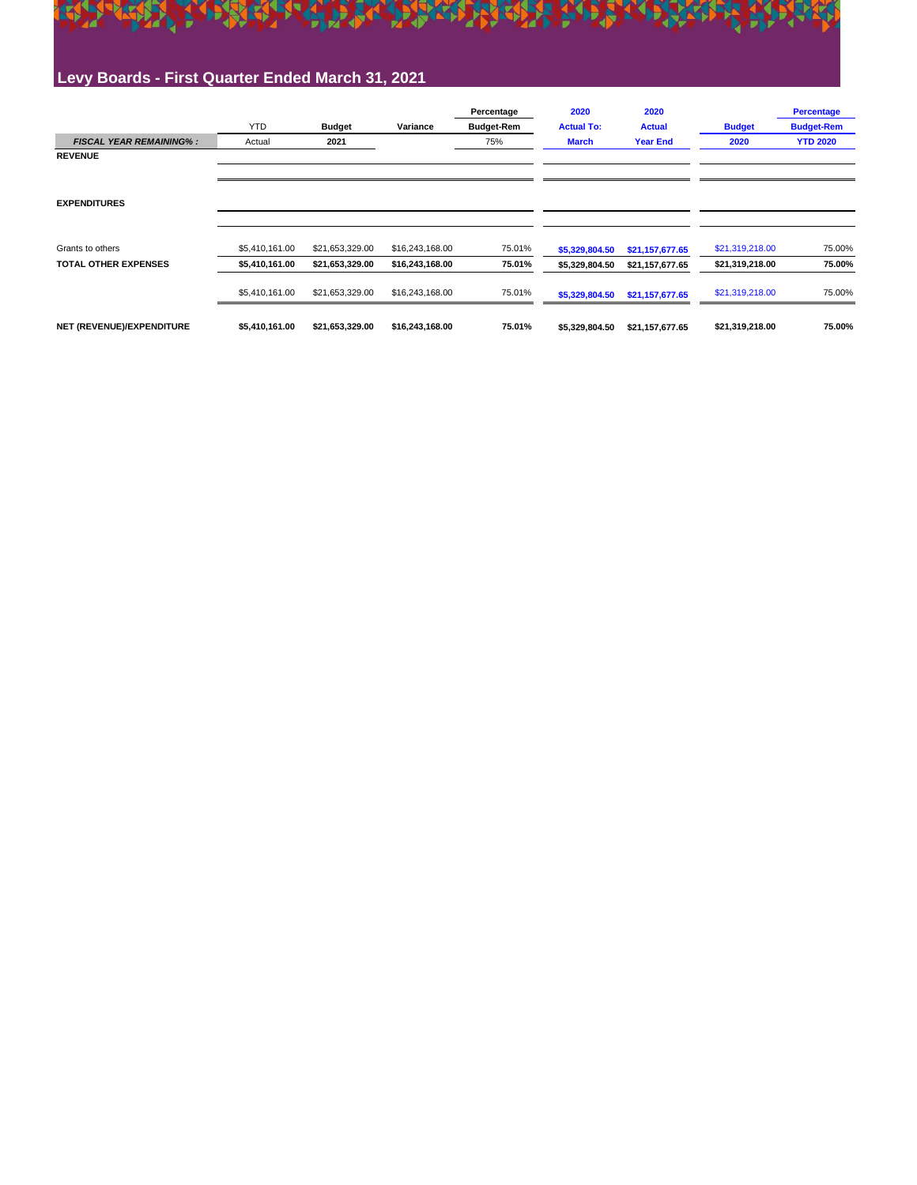

### **Levy Boards - First Quarter Ended March 31, 2021**

|                                |                |                 |                 | Percentage        | 2020              | 2020            |                 | <b>Percentage</b> |
|--------------------------------|----------------|-----------------|-----------------|-------------------|-------------------|-----------------|-----------------|-------------------|
|                                | <b>YTD</b>     | <b>Budget</b>   | Variance        | <b>Budget-Rem</b> | <b>Actual To:</b> | <b>Actual</b>   | <b>Budget</b>   | <b>Budget-Rem</b> |
| <b>FISCAL YEAR REMAINING%:</b> | Actual         | 2021            |                 | 75%               | <b>March</b>      | <b>Year End</b> | 2020            | <b>YTD 2020</b>   |
| <b>REVENUE</b>                 |                |                 |                 |                   |                   |                 |                 |                   |
|                                |                |                 |                 |                   |                   |                 |                 |                   |
|                                |                |                 |                 |                   |                   |                 |                 |                   |
| <b>EXPENDITURES</b>            |                |                 |                 |                   |                   |                 |                 |                   |
|                                |                |                 |                 |                   |                   |                 |                 |                   |
|                                |                |                 |                 |                   |                   |                 |                 |                   |
| Grants to others               | \$5,410,161.00 | \$21,653,329.00 | \$16,243,168.00 | 75.01%            | \$5,329,804.50    | \$21,157,677.65 | \$21,319,218.00 | 75.00%            |
| <b>TOTAL OTHER EXPENSES</b>    | \$5,410,161.00 | \$21,653,329.00 | \$16,243,168.00 | 75.01%            | \$5,329,804.50    | \$21,157,677.65 | \$21,319,218.00 | 75.00%            |
|                                |                |                 |                 |                   |                   |                 |                 |                   |
|                                | \$5,410,161.00 | \$21,653,329.00 | \$16,243,168.00 | 75.01%            | \$5,329,804.50    | \$21,157,677.65 | \$21,319,218.00 | 75.00%            |
|                                |                |                 |                 |                   |                   |                 |                 |                   |
| NET (REVENUE)/EXPENDITURE      | \$5,410,161.00 | \$21,653,329.00 | \$16,243,168.00 | 75.01%            | \$5,329,804.50    | \$21,157,677.65 | \$21,319,218.00 | 75.00%            |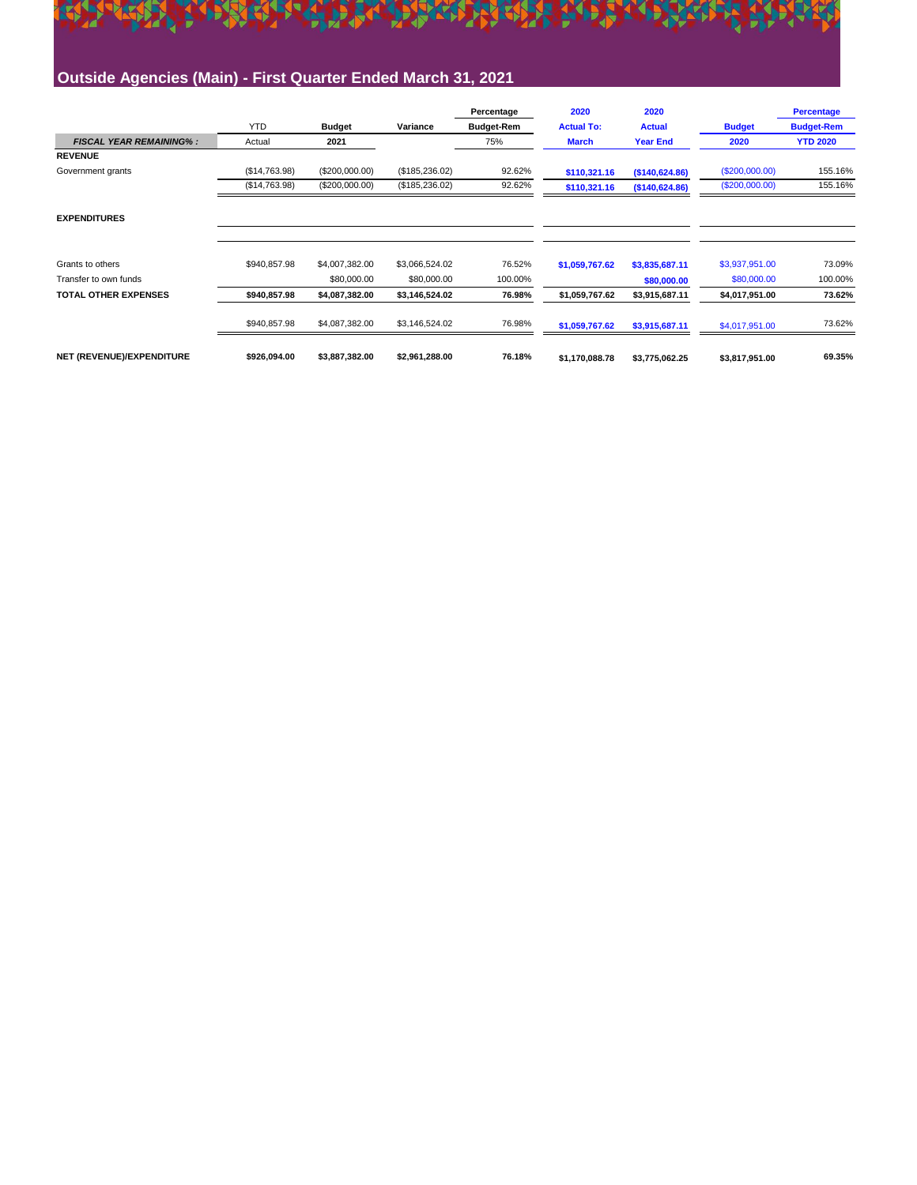

### **Outside Agencies (Main) - First Quarter Ended March 31, 2021**

|                                |               |                |                | Percentage        | 2020              | 2020            |                | <b>Percentage</b> |
|--------------------------------|---------------|----------------|----------------|-------------------|-------------------|-----------------|----------------|-------------------|
|                                | <b>YTD</b>    | <b>Budget</b>  | Variance       | <b>Budget-Rem</b> | <b>Actual To:</b> | <b>Actual</b>   | <b>Budget</b>  | <b>Budget-Rem</b> |
| <b>FISCAL YEAR REMAINING%:</b> | Actual        | 2021           |                | 75%               | <b>March</b>      | <b>Year End</b> | 2020           | <b>YTD 2020</b>   |
| <b>REVENUE</b>                 |               |                |                |                   |                   |                 |                |                   |
| Government grants              | (S14, 763.98) | (\$200,000.00) | (\$185,236.02) | 92.62%            | \$110,321.16      | (\$140,624.86)  | (S200,000.00)  | 155.16%           |
|                                | (\$14,763.98) | (\$200,000.00) | (\$185,236.02) | 92.62%            | \$110,321.16      | (\$140,624.86)  | (S200,000.00)  | 155.16%           |
| <b>EXPENDITURES</b>            |               |                |                |                   |                   |                 |                |                   |
| Grants to others               | \$940,857.98  | \$4,007,382.00 | \$3,066,524.02 | 76.52%            | \$1,059,767.62    | \$3,835,687.11  | \$3,937,951.00 | 73.09%            |
| Transfer to own funds          |               | \$80,000.00    | \$80,000.00    | 100.00%           |                   | \$80,000.00     | \$80,000.00    | 100.00%           |
| <b>TOTAL OTHER EXPENSES</b>    | \$940,857.98  | \$4,087,382.00 | \$3,146,524.02 | 76.98%            | \$1,059,767.62    | \$3,915,687.11  | \$4,017,951.00 | 73.62%            |
|                                | \$940,857.98  | \$4,087,382.00 | \$3,146,524.02 | 76.98%            | \$1,059,767.62    | \$3,915,687.11  | \$4,017,951.00 | 73.62%            |
| NET (REVENUE)/EXPENDITURE      | \$926,094.00  | \$3,887,382.00 | \$2,961,288.00 | 76.18%            | \$1,170,088.78    | \$3,775,062.25  | \$3,817,951.00 | 69.35%            |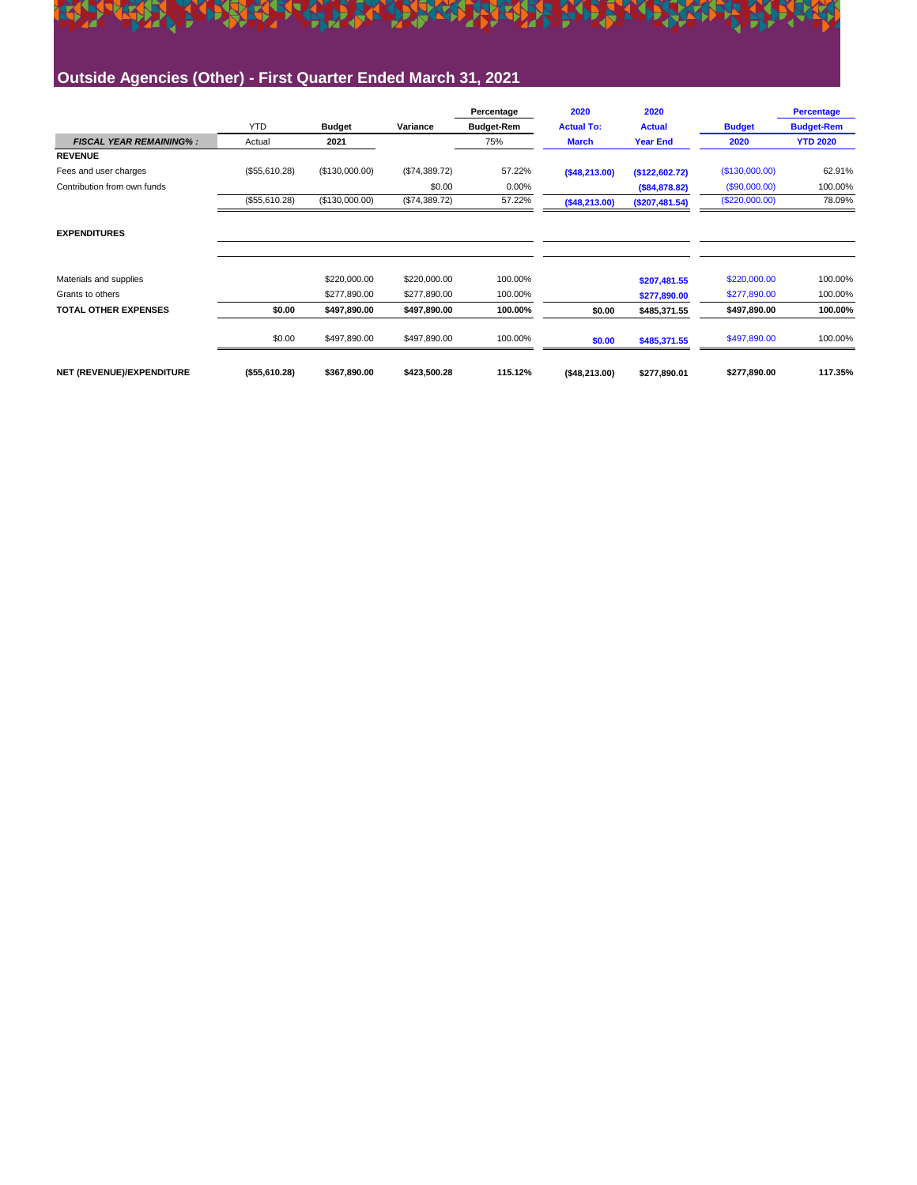

### **Outside Agencies (Other) - First Quarter Ended March 31, 2021**

|                                |                |                |               | Percentage        | 2020              | 2020            |                | <b>Percentage</b> |
|--------------------------------|----------------|----------------|---------------|-------------------|-------------------|-----------------|----------------|-------------------|
|                                | <b>YTD</b>     | <b>Budget</b>  | Variance      | <b>Budget-Rem</b> | <b>Actual To:</b> | <b>Actual</b>   | <b>Budget</b>  | <b>Budget-Rem</b> |
| <b>FISCAL YEAR REMAINING%:</b> | Actual         | 2021           |               | 75%               | <b>March</b>      | <b>Year End</b> | 2020           | <b>YTD 2020</b>   |
| <b>REVENUE</b>                 |                |                |               |                   |                   |                 |                |                   |
| Fees and user charges          | (\$55,610.28)  | (\$130,000.00) | (\$74,389.72) | 57.22%            | (\$48,213.00)     | (\$122,602.72)  | (\$130,000.00) | 62.91%            |
| Contribution from own funds    |                |                | \$0.00        | 0.00%             |                   | (\$84,878.82)   | (\$90,000.00)  | 100.00%           |
|                                | (\$55,610.28)  | (\$130,000.00) | (\$74,389.72) | 57.22%            | (\$48,213.00)     | (\$207,481.54)  | (\$220,000.00) | 78.09%            |
| <b>EXPENDITURES</b>            |                |                |               |                   |                   |                 |                |                   |
| Materials and supplies         |                | \$220,000.00   | \$220,000.00  | 100.00%           |                   | \$207,481.55    | \$220,000.00   | 100.00%           |
| Grants to others               |                | \$277,890.00   | \$277,890.00  | 100.00%           |                   | \$277,890.00    | \$277,890.00   | 100.00%           |
| <b>TOTAL OTHER EXPENSES</b>    | \$0.00         | \$497,890.00   | \$497,890.00  | 100.00%           | \$0.00            | \$485,371.55    | \$497,890.00   | 100.00%           |
|                                | \$0.00         | \$497,890.00   | \$497,890.00  | 100.00%           | \$0.00            | \$485,371.55    | \$497,890.00   | 100.00%           |
| NET (REVENUE)/EXPENDITURE      | ( \$55,610.28) | \$367,890.00   | \$423,500.28  | 115.12%           | (\$48,213.00)     | \$277,890.01    | \$277,890.00   | 117.35%           |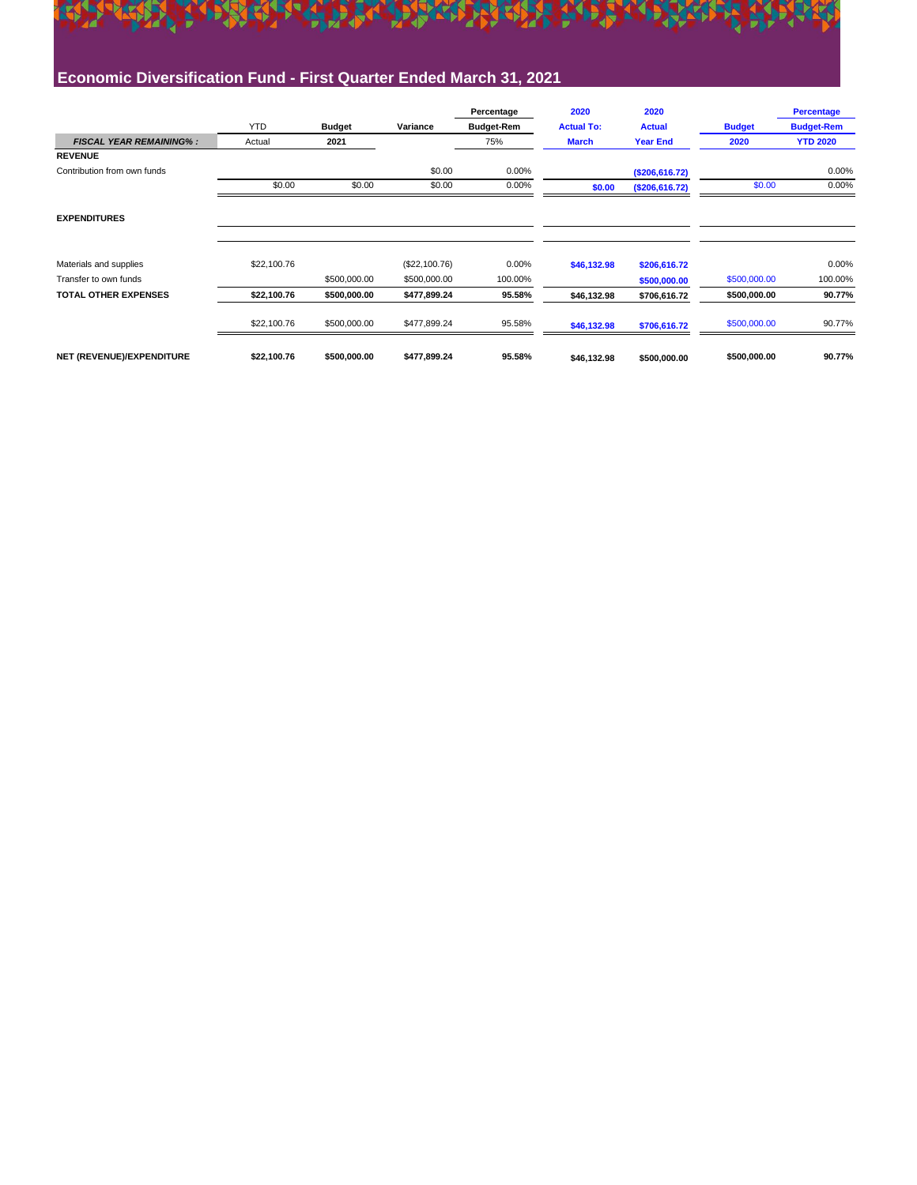

### **Economic Diversification Fund - First Quarter Ended March 31, 2021**

|                                |             |               |               | Percentage        | 2020              | 2020            |               | <b>Percentage</b> |
|--------------------------------|-------------|---------------|---------------|-------------------|-------------------|-----------------|---------------|-------------------|
|                                | <b>YTD</b>  | <b>Budget</b> | Variance      | <b>Budget-Rem</b> | <b>Actual To:</b> | <b>Actual</b>   | <b>Budget</b> | <b>Budget-Rem</b> |
| <b>FISCAL YEAR REMAINING%:</b> | Actual      | 2021          |               | 75%               | <b>March</b>      | <b>Year End</b> | 2020          | <b>YTD 2020</b>   |
| <b>REVENUE</b>                 |             |               |               |                   |                   |                 |               |                   |
| Contribution from own funds    |             |               | \$0.00        | 0.00%             |                   | (\$206,616.72)  |               | 0.00%             |
|                                | \$0.00      | \$0.00        | \$0.00        | 0.00%             | \$0.00            | (\$206,616.72)  | \$0.00        | 0.00%             |
| <b>EXPENDITURES</b>            |             |               |               |                   |                   |                 |               |                   |
| Materials and supplies         | \$22,100.76 |               | (\$22,100.76) | 0.00%             | \$46,132.98       | \$206,616.72    |               | $0.00\%$          |
| Transfer to own funds          |             | \$500,000.00  | \$500,000.00  | 100.00%           |                   | \$500,000.00    | \$500,000.00  | 100.00%           |
| <b>TOTAL OTHER EXPENSES</b>    | \$22,100.76 | \$500,000.00  | \$477,899.24  | 95.58%            | \$46,132.98       | \$706,616.72    | \$500,000.00  | 90.77%            |
|                                | \$22,100.76 | \$500,000.00  | \$477,899.24  | 95.58%            | \$46,132.98       | \$706,616.72    | \$500,000.00  | 90.77%            |
| NET (REVENUE)/EXPENDITURE      | \$22,100.76 | \$500,000.00  | \$477,899.24  | 95.58%            | \$46,132.98       | \$500,000.00    | \$500,000.00  | 90.77%            |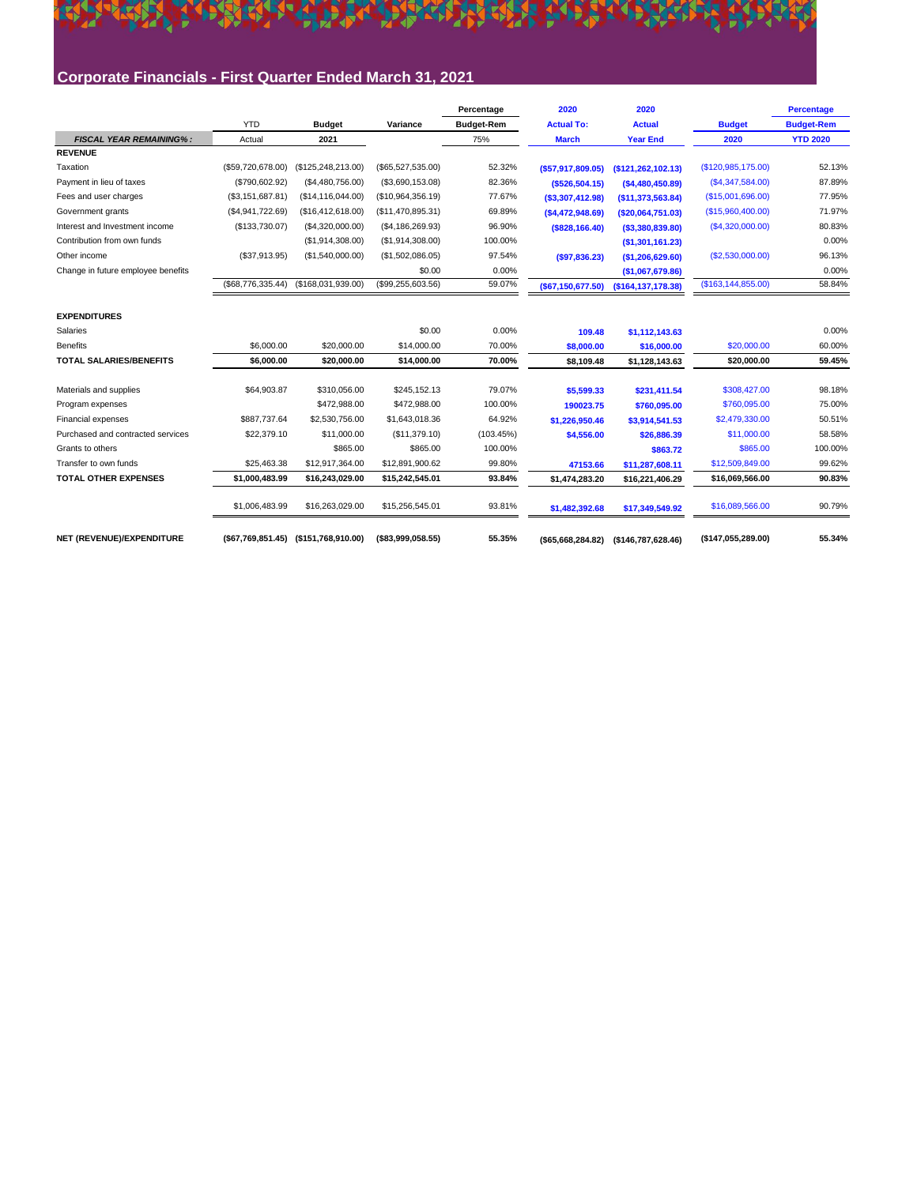### A REACTION OF THE ALL PARTIES OF THE ALL PARTIES. **PART** Corporate Financials - First Quarter Ended March 31, 2021

|                                    |                   |                                      |                    | Percentage        | 2020                 | 2020                  |                      | <b>Percentage</b> |
|------------------------------------|-------------------|--------------------------------------|--------------------|-------------------|----------------------|-----------------------|----------------------|-------------------|
|                                    | <b>YTD</b>        | <b>Budget</b>                        | Variance           | <b>Budget-Rem</b> | <b>Actual To:</b>    | <b>Actual</b>         | <b>Budget</b>        | <b>Budget-Rem</b> |
| <b>FISCAL YEAR REMAINING%:</b>     | Actual            | 2021                                 |                    | 75%               | <b>March</b>         | <b>Year End</b>       | 2020                 | <b>YTD 2020</b>   |
| <b>REVENUE</b>                     |                   |                                      |                    |                   |                      |                       |                      |                   |
| Taxation                           | (\$59,720,678.00) | (\$125, 248, 213.00)                 | (\$65,527,535.00)  | 52.32%            | $($ \$57,917,809.05) | (\$121,262,102.13)    | (\$120,985,175.00)   | 52.13%            |
| Payment in lieu of taxes           | (\$790,602.92)    | (\$4,480,756.00)                     | (\$3,690,153.08)   | 82.36%            | ( \$526, 504.15)     | (\$4,480,450.89)      | (S4, 347, 584.00)    | 87.89%            |
| Fees and user charges              | (\$3,151,687.81)  | (\$14, 116, 044.00)                  | (\$10,964,356.19)  | 77.67%            | ( \$3,307,412.98)    | (\$11,373,563.84)     | (\$15,001,696.00)    | 77.95%            |
| Government grants                  | (\$4,941,722.69)  | (\$16,412,618.00)                    | (\$11,470,895.31)  | 69.89%            | (\$4,472,948.69)     | (\$20,064,751.03)     | (S15,960,400.00)     | 71.97%            |
| Interest and Investment income     | (\$133,730.07)    | (\$4,320,000.00)                     | (S4, 186, 269.93)  | 96.90%            | $($ \$828,166.40)    | ( \$3,380,839.80)     | (S4, 320, 000.00)    | 80.83%            |
| Contribution from own funds        |                   | (\$1,914,308.00)                     | (\$1,914,308.00)   | 100.00%           |                      | (\$1,301,161.23)      |                      | 0.00%             |
| Other income                       | (\$37,913.95)     | (\$1,540,000.00)                     | (\$1,502,086.05)   | 97.54%            | (\$97,836.23)        | (\$1,206,629.60)      | (S2,530,000.00)      | 96.13%            |
| Change in future employee benefits |                   |                                      | \$0.00             | 0.00%             |                      | (\$1,067,679.86)      |                      | 0.00%             |
|                                    | (\$68,776,335.44) | (\$168,031,939.00)                   | (\$99,255,603.56)  | 59.07%            | (\$67,150,677.50)    | ( \$164, 137, 178.38) | (\$163, 144, 855.00) | 58.84%            |
| <b>EXPENDITURES</b>                |                   |                                      |                    |                   |                      |                       |                      |                   |
| Salaries                           |                   |                                      | \$0.00             | 0.00%             | 109.48               | \$1,112,143.63        |                      | 0.00%             |
| <b>Benefits</b>                    | \$6,000.00        | \$20,000.00                          | \$14,000.00        | 70.00%            | \$8,000.00           | \$16,000.00           | \$20,000.00          | 60.00%            |
| <b>TOTAL SALARIES/BENEFITS</b>     | \$6,000.00        | \$20,000.00                          | \$14,000.00        | 70.00%            | \$8,109.48           | \$1,128,143.63        | \$20,000.00          | 59.45%            |
| Materials and supplies             | \$64,903.87       | \$310.056.00                         | \$245.152.13       | 79.07%            | \$5,599.33           | \$231,411.54          | \$308,427.00         | 98.18%            |
| Program expenses                   |                   | \$472,988.00                         | \$472,988.00       | 100.00%           | 190023.75            | \$760,095.00          | \$760,095.00         | 75.00%            |
| <b>Financial expenses</b>          | \$887,737.64      | \$2,530,756.00                       | \$1,643,018.36     | 64.92%            | \$1,226,950.46       | \$3,914,541.53        | \$2,479,330.00       | 50.51%            |
| Purchased and contracted services  | \$22,379.10       | \$11,000.00                          | (\$11,379.10)      | (103.45%)         | \$4,556.00           | \$26,886.39           | \$11,000.00          | 58.58%            |
| Grants to others                   |                   | \$865.00                             | \$865.00           | 100.00%           |                      | \$863.72              | \$865.00             | 100.00%           |
| Transfer to own funds              | \$25,463.38       | \$12,917,364.00                      | \$12,891,900.62    | 99.80%            | 47153.66             | \$11,287,608.11       | \$12,509,849.00      | 99.62%            |
| <b>TOTAL OTHER EXPENSES</b>        | \$1,000,483.99    | \$16,243,029.00                      | \$15,242,545.01    | 93.84%            | \$1,474,283.20       | \$16,221,406.29       | \$16,069,566.00      | 90.83%            |
|                                    |                   |                                      |                    |                   |                      |                       |                      |                   |
|                                    | \$1,006,483.99    | \$16,263,029.00                      | \$15,256,545.01    | 93.81%            | \$1,482,392.68       | \$17,349,549.92       | \$16,089,566.00      | 90.79%            |
| NET (REVENUE)/EXPENDITURE          |                   | (\$67,769,851.45) (\$151,768,910.00) | ( \$83,999,058.55) | 55.35%            | ( \$65,668,284.82)   | (\$146,787,628.46)    | (\$147,055,289.00)   | 55.34%            |